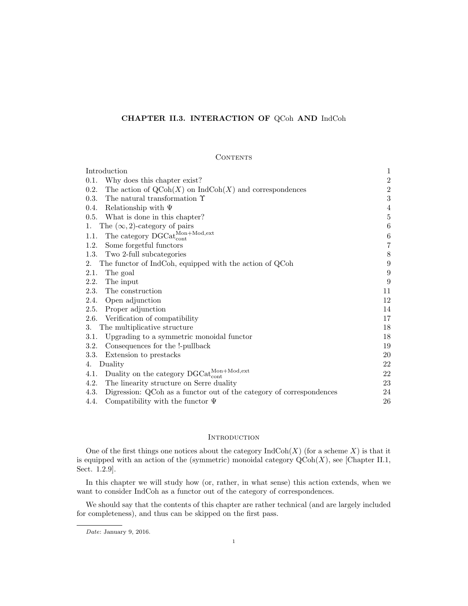# CHAPTER II.3. INTERACTION OF QCoh AND IndCoh

### **CONTENTS**

| Introduction                                                                            | 1                |
|-----------------------------------------------------------------------------------------|------------------|
| 0.1.<br>Why does this chapter exist?                                                    | $\,2$            |
| 0.2.<br>The action of $\text{QCoh}(X)$ on $\text{Ind}\text{Coh}(X)$ and correspondences | $\,2$            |
| 0.3.<br>The natural transformation $\Upsilon$                                           | 3                |
| 0.4.<br>Relationship with $\Psi$                                                        | 4                |
| 0.5. What is done in this chapter?                                                      | $\bf 5$          |
| The $(\infty, 2)$ -category of pairs<br>1.                                              | $\,6$            |
| The category $\mathrm{DGCat}_{\mathrm{cont}}^{\mathrm{Mon+Mod,ext}}$<br>1.1.            | $\,6\,$          |
| Some forgetful functors<br>1.2.                                                         | $\overline{7}$   |
| Two 2-full subcategories<br>1.3.                                                        | $8\,$            |
| The functor of IndCoh, equipped with the action of QCoh<br>2.                           | $\boldsymbol{9}$ |
| The goal<br>2.1.                                                                        | $\boldsymbol{9}$ |
| 2.2.<br>The input                                                                       | 9                |
| The construction<br>2.3.                                                                | 11               |
| 2.4.<br>Open adjunction                                                                 | 12               |
| Proper adjunction<br>2.5.                                                               | 14               |
| 2.6.<br>Verification of compatibility                                                   | 17               |
| The multiplicative structure<br>3.                                                      | 18               |
| Upgrading to a symmetric monoidal functor<br>3.1.                                       | 18               |
| Consequences for the !-pullback<br>3.2.                                                 | 19               |
| Extension to prestacks<br>3.3.                                                          | 20               |
| Duality<br>4.                                                                           | 22               |
| Duality on the category $DGCat_{cont}^{Mon+Mod,ext}$<br>4.1.                            | 22               |
| 4.2.<br>The linearity structure on Serre duality                                        | 23               |
| 4.3.<br>Digression: QCoh as a functor out of the category of correspondences            | 24               |
| Compatibility with the functor $\Psi$<br>4.4.                                           | 26               |

# **INTRODUCTION**

One of the first things one notices about the category  $\text{IndCoh}(X)$  (for a scheme X) is that it is equipped with an action of the (symmetric) monoidal category  $\mathrm{QCoh}(X)$ , see [Chapter II.1, Sect. 1.2.9].

In this chapter we will study how (or, rather, in what sense) this action extends, when we want to consider IndCoh as a functor out of the category of correspondences.

We should say that the contents of this chapter are rather technical (and are largely included for completeness), and thus can be skipped on the first pass.

Date: January 9, 2016.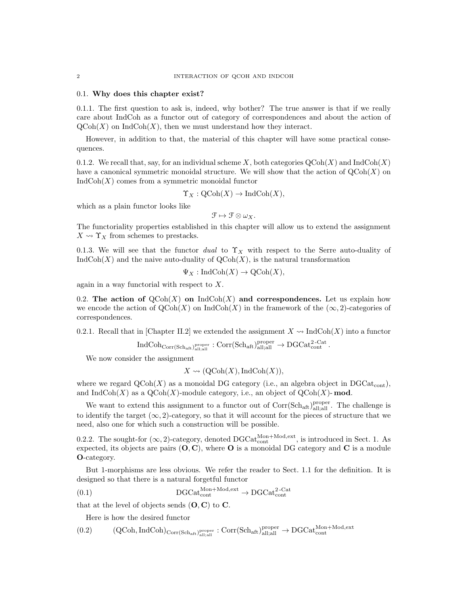#### 0.1. Why does this chapter exist?

0.1.1. The first question to ask is, indeed, why bother? The true answer is that if we really care about IndCoh as a functor out of category of correspondences and about the action of  $\mathrm{QCoh}(X)$  on IndCoh $(X)$ , then we must understand how they interact.

However, in addition to that, the material of this chapter will have some practical consequences.

0.1.2. We recall that, say, for an individual scheme X, both categories  $\mathrm{QCoh}(X)$  and  $\mathrm{IndCoh}(X)$ have a canonical symmetric monoidal structure. We will show that the action of  $\mathrm{QCoh}(X)$  on  $IndCoh(X)$  comes from a symmetric monoidal functor

$$
\Upsilon_X : \mathrm{QCoh}(X) \to \mathrm{IndCoh}(X),
$$

which as a plain functor looks like

 $\mathcal{F} \mapsto \mathcal{F} \otimes \omega_X.$ 

The functoriality properties established in this chapter will allow us to extend the assignment  $X \rightsquigarrow \Upsilon_X$  from schemes to prestacks.

0.1.3. We will see that the functor dual to  $\Upsilon_X$  with respect to the Serre auto-duality of  $IndCoh(X)$  and the naive auto-duality of  $QCoh(X)$ , is the natural transformation

$$
\Psi_X : \mathrm{IndCoh}(X) \to \mathrm{QCoh}(X),
$$

again in a way functorial with respect to X.

0.2. The action of  $\mathrm{QCoh}(X)$  on IndCoh(X) and correspondences. Let us explain how we encode the action of  $QCoh(X)$  on  $IndCoh(X)$  in the framework of the  $(\infty, 2)$ -categories of correspondences.

0.2.1. Recall that in [Chapter II.2] we extended the assignment  $X \rightsquigarrow \text{IndCoh}(X)$  into a functor

$$
\operatorname{IndCoh}_{\operatorname{Corr}(\operatorname{Sch}_{\operatorname{aff}},\operatorname{all}_{\operatorname{all}}^{\operatorname{proper}}]}:\operatorname{Corr}(\operatorname{Sch}_{\operatorname{aff}})^{\operatorname{proper}}_{\operatorname{all},\operatorname{all}}\to \operatorname{DGCat}_{\operatorname{cont}}^{2\text{-}\operatorname{Cat}}.
$$

We now consider the assignment

$$
X \rightsquigarrow (\text{QCoh}(X), \text{IndCoh}(X)),
$$

where we regard  $\mathrm{QCoh}(X)$  as a monoidal DG category (i.e., an algebra object in DGCat<sub>cont</sub>), and  $\text{IndCoh}(X)$  as a  $\text{QCoh}(X)$ -module category, i.e., an object of  $\text{QCoh}(X)$ -mod.

We want to extend this assignment to a functor out of  $Corr(Sch_{aff})_{all;all}^{proper}$ . The challenge is to identify the target  $(\infty, 2)$ -category, so that it will account for the pieces of structure that we need, also one for which such a construction will be possible.

0.2.2. The sought-for  $(\infty, 2)$ -category, denoted DGCat<sub>cont</sub><sup>Mon+Mod,ext</sup>, is introduced in Sect. 1. As expected, its objects are pairs  $(O, C)$ , where O is a monoidal DG category and C is a module O-category.

But 1-morphisms are less obvious. We refer the reader to Sect. 1.1 for the definition. It is designed so that there is a natural forgetful functor

$$
(0.1)\t\t\tDGCat_{cont}^{Mon+Mod, ext} \to DGCat_{cont}^{2-Cat}
$$

that at the level of objects sends  $(O, C)$  to  $C$ .

Here is how the desired functor

$$
(0.2) \qquad \quad (QCoh, IndCoh)_{{\rm Corr(Sch_{aff})}_{all;all}^{\rm proper}}: {\rm Corr(Sch_{aff})}_{all;all}^{\rm proper} \rightarrow {\rm DGCat}_{\rm cont}^{{\rm Mon+Mod,ext}}
$$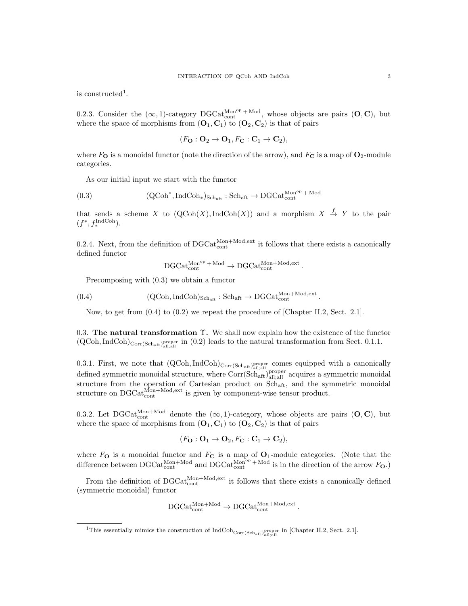is constructed<sup>1</sup>.

0.2.3. Consider the  $(\infty, 1)$ -category  $DGCat_{cont}^{Mon^{op} + Mod}$ , whose objects are pairs  $(O, C)$ , but where the space of morphisms from  $(O_1, C_1)$  to  $(O_2, C_2)$  is that of pairs

$$
(F_{\mathbf{O}} : \mathbf{O}_2 \to \mathbf{O}_1, F_{\mathbf{C}} : \mathbf{C}_1 \to \mathbf{C}_2),
$$

where  $F_{\mathbf{O}}$  is a monoidal functor (note the direction of the arrow), and  $F_{\mathbf{C}}$  is a map of  $\mathbf{O}_2$ -module categories.

As our initial input we start with the functor

$$
(0.3) \hspace{1cm} (QCoh^*, IndCoh_*)_{Sch_{aff}}: Sch_{aff} \rightarrow DGCat^{Mon^{op}_* + Mod}_{cont}
$$

that sends a scheme X to  $(QCoh(X),IndCoh(X))$  and a morphism  $X \stackrel{f}{\rightarrow} Y$  to the pair  $(f^*, f^{\text{IndCoh}}_*)$ .

0.2.4. Next, from the definition of  $DGCat_{\text{cont}}^{\text{Mon+Mod,ext}}$  it follows that there exists a canonically defined functor

$$
\operatorname{DGCat_{cont}^{Mon^{op}+\mathrm{Mod}}}\nolimits \to \operatorname{DGCat_{cont}^{Mon+Mod,ext}}.
$$

Precomposing with (0.3) we obtain a functor

(0.4)  $(QCoh, IndCoh)_{Sch_{aff}} : Sch_{aff} \rightarrow DGCat_{cont}^{Mon+Mod, ext}.$ 

Now, to get from  $(0.4)$  to  $(0.2)$  we repeat the procedure of [Chapter II.2, Sect. 2.1].

0.3. The natural transformation  $\Upsilon$ . We shall now explain how the existence of the functor  $(QCoh, IndCoh)_{Corr(Sch<sub>af</sub>, p<sub>loop</sub><sup>proper</sup> in (0.2) leads to the natural transformation from Sect. 0.1.1.$ 

0.3.1. First, we note that  $(QCoh, IndCoh)_{Corr(Sch_{att})_{all;all}}$  comes equipped with a canonically defined symmetric monoidal structure, where  $Corr(Sch<sub>att</sub>)<sub>all;all</sub><sub>all</sub>$  acquires a symmetric monoidal structure from the operation of Cartesian product on Schaft, and the symmetric monoidal structure on  $\text{DGCat}_{\text{cont}}^{\text{Mon+Mod,ext}}$  is given by component-wise tensor product.

0.3.2. Let  $DGCat_{cont}^{Mon+Mod}$  denote the  $(\infty, 1)$ -category, whose objects are pairs  $(O, C)$ , but where the space of morphisms from  $(O_1, C_1)$  to  $(O_2, C_2)$  is that of pairs

$$
(F_{\mathbf{O}} : \mathbf{O}_1 \to \mathbf{O}_2, F_{\mathbf{C}} : \mathbf{C}_1 \to \mathbf{C}_2),
$$

where  $F_{\mathbf{O}}$  is a monoidal functor and  $F_{\mathbf{C}}$  is a map of  $\mathbf{O}_1$ -module categories. (Note that the difference between  $\mathrm{DGCat}_{\mathrm{cont}}^{\mathrm{Mon+Mod}}$  and  $\mathrm{DGCat}_{\mathrm{cont}}^{\mathrm{Mon}^{\mathrm{op}}+\mathrm{Mod}}$  is in the direction of the arrow  $F_{\mathbf{O}}$ .)

From the definition of  $DGCat_{cont}^{Mon+Mod,ext}$  it follows that there exists a canonically defined (symmetric monoidal) functor

$$
\mathrm{DGCat}_{\mathrm{cont}}^{\mathrm{Mon+Mod}} \to \mathrm{DGCat}_{\mathrm{cont}}^{\mathrm{Mon+Mod,ext}}.
$$

<sup>&</sup>lt;sup>1</sup>This essentially mimics the construction of  $\text{IndCoh}_{\text{Corr}(\text{Sch}_{\text{aff}})}^{\text{proper}}$  in [Chapter II.2, Sect. 2.1].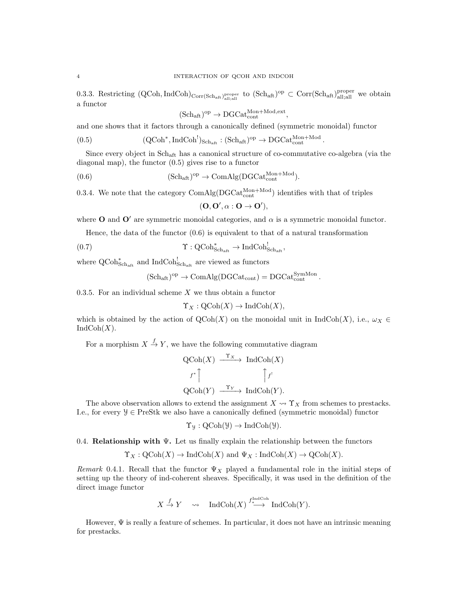0.3.3. Restricting  $(QCoh, IndCoh)_{Corr(Sch_{aff})_{all;all}^{proper}}$  to  $(Sch_{aff})^{op} \subset Corr(Sch_{aff})_{all;all}^{proper}$  we obtain a functor

$$
(\mathrm{Sch}_{\mathrm{aft}})^{\mathrm{op}} \to \mathrm{DGCat}_{\mathrm{cont}}^{\mathrm{Mon+Mod,ext}},
$$

and one shows that it factors through a canonically defined (symmetric monoidal) functor

(0.5) 
$$
(\text{QCoh}^*, \text{IndCoh}^!)_{\text{Sch}_{\text{aff}}} : (\text{Sch}_{\text{aff}})^{\text{op}} \to \text{DGCat}_{\text{cont}}^{\text{Mon+Mod}}.
$$

Since every object in Schaft has a canonical structure of co-commutative co-algebra (via the diagonal map), the functor (0.5) gives rise to a functor

(0.6) 
$$
(Sch_{\text{aft}})^{\text{op}} \to \text{ComAlg}(DGCat_{\text{cont}}^{\text{Mon}+\text{Mod}}).
$$

0.3.4. We note that the category  $\text{ComAlg}(\text{DGCat}_{\text{cont}}^{\text{Mon+Mod}})$  identifies with that of triples

$$
(\mathbf{O},\mathbf{O}',\alpha:\mathbf{O}\to\mathbf{O}'),
$$

where **O** and **O'** are symmetric monoidal categories, and  $\alpha$  is a symmetric monoidal functor.

Hence, the data of the functor  $(0.6)$  is equivalent to that of a natural transformation

(0.7) 
$$
\Upsilon : \mathrm{QCoh}^*_{\mathrm{Sch}_{\mathrm{aft}}} \to \mathrm{IndCoh}^!_{\mathrm{Sch}_{\mathrm{aft}}},
$$

where  $\operatorname{QCoh}^*_{\operatorname{Sch}_{\operatorname{aft}}}$  and  $\operatorname{IndCoh}^!_{\operatorname{Sch}_{\operatorname{aft}}}$  are viewed as functors

$$
(\mathrm{Sch}_{\mathrm{aff}})^{\mathrm{op}}\to \mathrm{ComAlg}(\mathrm{DGCat}_{\mathrm{cont}})=\mathrm{DGCat}_{\mathrm{cont}}^{\mathrm{SymMon}}\,.
$$

0.3.5. For an individual scheme  $X$  we thus obtain a functor

$$
\Upsilon_X : \mathrm{QCoh}(X) \to \mathrm{IndCoh}(X),
$$

which is obtained by the action of  $QCoh(X)$  on the monoidal unit in IndCoh(X), i.e.,  $\omega_X \in$  $IndCoh(X)$ .

For a morphism  $X \stackrel{f}{\rightarrow} Y$ , we have the following commutative diagram

$$
\begin{aligned}\n\text{QCoh}(X) & \xrightarrow{\Upsilon_X} \text{IndCoh}(X) \\
\downarrow f^* \uparrow \qquad \qquad \uparrow f^! \\
\text{QCoh}(Y) & \xrightarrow{\Upsilon_Y} \text{IndCoh}(Y).\n\end{aligned}
$$

The above observation allows to extend the assignment  $X \leadsto \Upsilon_X$  from schemes to prestacks. I.e., for every  $\mathcal{Y} \in \text{PreStk}$  we also have a canonically defined (symmetric monoidal) functor

$$
\Upsilon_{\mathcal{Y}}: \mathrm{QCoh}(\mathcal{Y}) \to \mathrm{IndCoh}(\mathcal{Y}).
$$

0.4. **Relationship with**  $\Psi$ . Let us finally explain the relationship between the functors

$$
\Upsilon_X : \mathrm{QCoh}(X) \to \mathrm{IndCoh}(X) \text{ and } \Psi_X : \mathrm{IndCoh}(X) \to \mathrm{QCoh}(X).
$$

Remark 0.4.1. Recall that the functor  $\Psi_X$  played a fundamental role in the initial steps of setting up the theory of ind-coherent sheaves. Specifically, it was used in the definition of the direct image functor

$$
X \xrightarrow{f} Y \quad \rightsquigarrow \quad \text{IndCoh}(X) \xrightarrow{f^{\text{IndCoh}}}_{*} \text{IndCoh}(Y).
$$

However,  $\Psi$  is really a feature of schemes. In particular, it does not have an intrinsic meaning for prestacks.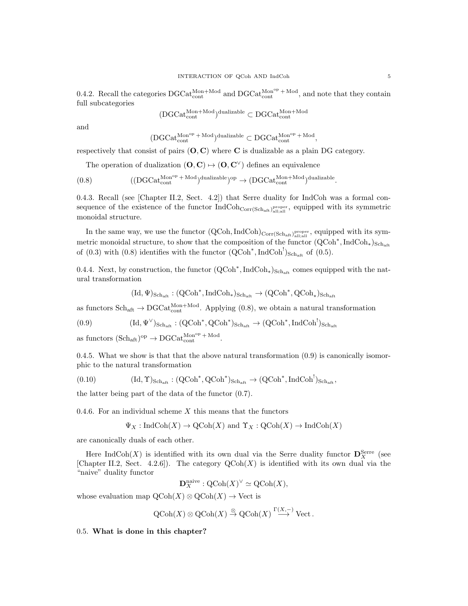0.4.2. Recall the categories  $DGCat_{cont}^{Mon+Mod}$  and  $DGCat_{cont}^{Mon^{op} + Mod}$ , and note that they contain full subcategories

$$
(\text{DGCat}_{\text{cont}}^{\text{Mon+Mod}})^{\text{dualizable}} \subset \text{DGCat}_{\text{cont}}^{\text{Mon+Mod}}
$$

and

$$
(\mathrm{DGCat}_{\mathrm{cont}}^{\mathrm{Mon}^{\mathrm{op}}\,+\,\mathrm{Mod}})^\mathrm{dualizable}\subset \mathrm{DGCat}_{\mathrm{cont}}^{\mathrm{Mon}^{\mathrm{op}}\,+\,\mathrm{Mod}},
$$

respectively that consist of pairs  $(O, C)$  where C is dualizable as a plain DG category.

The operation of dualization  $(O, C) \mapsto (O, C^{\vee})$  defines an equivalence

$$
(0.8)\qquad \qquad ((\mathrm{DGCat}_{\mathrm{cont}}^{\mathrm{Mon}^{\mathrm{op}}+\mathrm{Mod}})^{\mathrm{dualizable}})^{\mathrm{op}}\rightarrow (\mathrm{DGCat}_{\mathrm{cont}}^{\mathrm{Mon+Mod}})^{\mathrm{dualizable}}.
$$

0.4.3. Recall (see [Chapter II.2, Sect. 4.2]) that Serre duality for IndCoh was a formal consequence of the existence of the functor  $IndCoh_{Corr(Sch_{aff})}$ <sub>proper</sub>, equipped with its symmetric monoidal structure.

In the same way, we use the functor  $(QCoh, IndCoh)_{Corr(Sch_{aff})_{all;all}}$ , equipped with its symmetric monoidal structure, to show that the composition of the functor  $(QCoh^*, IndCoh_*)_{Sch_{aff}}$ of  $(0.3)$  with  $(0.8)$  identifies with the functor  $(QCoh^*$ , IndCoh<sup>!</sup>)<sub>Schaft</sub> of  $(0.5)$ .

0.4.4. Next, by construction, the functor  $(QCoh^*$ , IndCoh<sub>\*</sub>)<sub>Schaft</sub> comes equipped with the natural transformation

$$
(\mathrm{Id},\Psi)_{{\mathrm{Sch}}_{\mathrm{aff}}}:({\mathrm{QCoh}}^*,{\mathrm{Ind}}{\mathrm{Coh}}_*)_{\mathrm{Sch}_{\mathrm{aff}}} \to ({\mathrm{QCoh}}^*,{\mathrm{QCoh}}_*)_{\mathrm{Sch}_{\mathrm{aff}}}
$$

as functors  $Sch_{\text{aff}} \to DGCat_{\text{cont}}^{Mon+Mod}$ . Applying (0.8), we obtain a natural transformation

$$
(0.9) \qquad \qquad (\mathrm{Id},\Psi^\vee)_{\mathrm{Sch}_\mathrm{aff}}: (\mathrm{QCoh}^*, \mathrm{QCoh}^*)_{\mathrm{Sch}_\mathrm{aff}} \to (\mathrm{QCoh}^*, \mathrm{IndCoh}^!)_{\mathrm{Sch}_\mathrm{aff}}
$$

as functors  $(\text{Sch}_{\text{aft}})^{\text{op}} \to \text{DGCat}_{\text{cont}}^{\text{Mon}^{\text{op}} + \text{Mod}}.$ 

0.4.5. What we show is that that the above natural transformation  $(0.9)$  is canonically isomorphic to the natural transformation

$$
(0.10) \qquad \qquad (\mathrm{Id}, \Upsilon)_{\mathrm{Sch}_{\mathrm{aff}}} : (\mathrm{QCoh}^*, \mathrm{QCoh}^*)_{\mathrm{Sch}_{\mathrm{aff}}} \to (\mathrm{QCoh}^*, \mathrm{IndCoh}^!)_{\mathrm{Sch}_{\mathrm{aff}}},
$$

the latter being part of the data of the functor (0.7).

0.4.6. For an individual scheme  $X$  this means that the functors

$$
\Psi_X : \text{IndCoh}(X) \to \text{QCoh}(X) \text{ and } \Upsilon_X : \text{QCoh}(X) \to \text{IndCoh}(X)
$$

are canonically duals of each other.

Here IndCoh(X) is identified with its own dual via the Serre duality functor  $\mathbf{D}_X^{\text{Serre}}$  (see [Chapter II.2, Sect. 4.2.6]). The category  $QCoh(X)$  is identified with its own dual via the "naive" duality functor

$$
\mathbf{D}_X^{\text{naive}} : \text{QCoh}(X)^\vee \simeq \text{QCoh}(X),
$$

whose evaluation map  $\mathrm{QCoh}(X) \otimes \mathrm{QCoh}(X) \to \mathrm{Vect}$  is

$$
QCoh(X) \otimes QCoh(X) \stackrel{\otimes}{\to} QCoh(X) \stackrel{\Gamma(X,-)}{\longrightarrow} Vect.
$$

0.5. What is done in this chapter?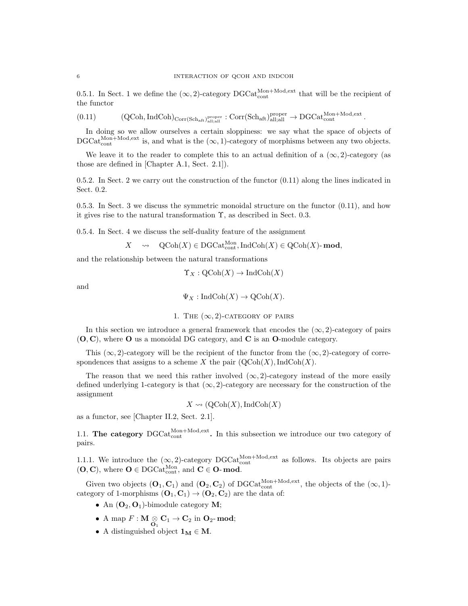0.5.1. In Sect. 1 we define the  $(\infty, 2)$ -category DGCat<sub>cont</sub><sup>Mon+Mod,ext</sup> that will be the recipient of the functor

$$
(0.11) \qquad \qquad (\text{QCoh}, \text{IndCoh})_{\text{Corr}(\text{Sch}_{\text{aft}})_{\text{all;all}}^{\text{proper}}} : \text{Corr}(\text{Sch}_{\text{aft}})_{\text{all;all}}^{\text{proper}} \to \text{DGCat}_{\text{cont}}^{\text{Mon+Mod,ext}}.
$$

In doing so we allow ourselves a certain sloppiness: we say what the space of objects of  $\text{DGCat}_{\text{cont}}^{\text{Mon+Mod,ext}}$  is, and what is the  $(\infty, 1)$ -category of morphisms between any two objects.

We leave it to the reader to complete this to an actual definition of a  $(\infty, 2)$ -category (as those are defined in [Chapter A.1, Sect. 2.1]).

0.5.2. In Sect. 2 we carry out the construction of the functor (0.11) along the lines indicated in Sect. 0.2.

0.5.3. In Sect. 3 we discuss the symmetric monoidal structure on the functor (0.11), and how it gives rise to the natural transformation  $\Upsilon$ , as described in Sect. 0.3.

0.5.4. In Sect. 4 we discuss the self-duality feature of the assignment

$$
X \quad \rightsquigarrow \quad \mathrm{QCoh}(X) \in \mathrm{DGCat}_{\mathrm{cont}}^{\mathrm{Mon}}, \mathrm{IndCoh}(X) \in \mathrm{QCoh}(X)\text{-}\mathbf{mod},
$$

and the relationship between the natural transformations

$$
\Upsilon_X : \mathrm{QCoh}(X) \to \mathrm{IndCoh}(X)
$$

and

$$
\Psi_X : \text{IndCoh}(X) \to \text{QCoh}(X).
$$

1. THE 
$$
(\infty, 2)
$$
-category of pairs

In this section we introduce a general framework that encodes the  $(\infty, 2)$ -category of pairs  $(O, C)$ , where O us a monoidal DG category, and C is an O-module category.

This  $(\infty, 2)$ -category will be the recipient of the functor from the  $(\infty, 2)$ -category of correspondences that assigns to a scheme X the pair  $(QCoh(X),IndCoh(X))$ .

The reason that we need this rather involved  $(\infty, 2)$ -category instead of the more easily defined underlying 1-category is that  $(\infty, 2)$ -category are necessary for the construction of the assignment

$$
X \rightsquigarrow (\text{QCoh}(X), \text{IndCoh}(X))
$$

as a functor, see [Chapter II.2, Sect. 2.1].

1.1. The category  $DGCat_{\text{cont}}^{\text{Mon+Mod,ext}}$ . In this subsection we introduce our two category of pairs.

1.1.1. We introduce the  $(\infty, 2)$ -category DGCat<sup>Mon+Mod,ext</sup> as follows. Its objects are pairs  $(O, C)$ , where  $O \in DGCat_{cont}^{Mon}$ , and  $C \in O$ - mod.

Given two objects  $(O_1, C_1)$  and  $(O_2, C_2)$  of DGCat<sub>cont</sub><sup>Mon+Mod,ext</sup>, the objects of the  $(\infty, 1)$ category of 1-morphisms  $(O_1, C_1) \rightarrow (O_2, C_2)$  are the data of:

- An  $(O_2, O_1)$ -bimodule category M;
- A map  $F: M \underset{\mathbf{O}_1}{\otimes} \mathbf{C}_1 \to \mathbf{C}_2$  in  $\mathbf{O}_2$ -mod;
- A distinguished object  $1_M \in M$ .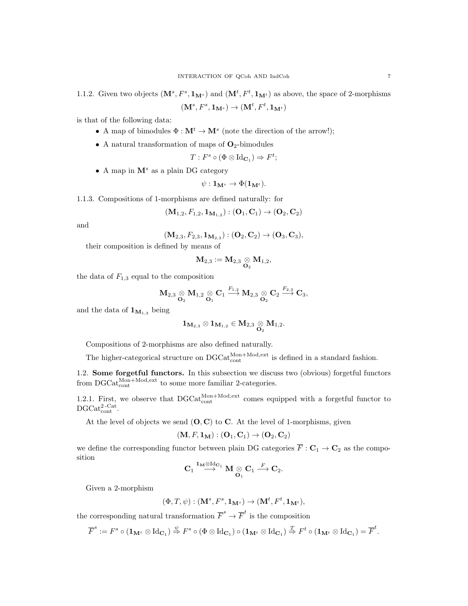1.1.2. Given two objects  $(M^s, F^s, 1_M)$  and  $(M^t, F^t, 1_{M^t})$  as above, the space of 2-morphisms  $(\mathbf{M}^{s}, F^{s}, \mathbf{1_{M^{s}}}) \rightarrow (\mathbf{M}^{t}, F^{t}, \mathbf{1_{M^{t}}})$ 

is that of the following data:

- A map of bimodules  $\Phi : \mathbf{M}^t \to \mathbf{M}^s$  (note the direction of the arrow!);
- A natural transformation of maps of  $O_2$ -bimodules

$$
T: F^s \circ (\Phi \otimes \mathrm{Id}_{\mathbf{C}_1}) \Rightarrow F^t;
$$

• A map in  $\mathbf{M}^s$  as a plain DG category

$$
\psi: \mathbf{1}_{\mathbf{M}^s} \to \Phi(\mathbf{1}_{\mathbf{M}^t}).
$$

1.1.3. Compositions of 1-morphisms are defined naturally: for

$$
(\mathbf{M}_{1,2},F_{1,2},\mathbf{1}_{\mathbf{M}_{1,2}}):(\mathbf{O}_1,\mathbf{C}_1)\to(\mathbf{O}_2,\mathbf{C}_2)
$$

and

$$
(\mathbf{M}_{2,3}, F_{2,3}, \mathbf{1}_{\mathbf{M}_{2,3}}): (\mathbf{O}_2, \mathbf{C}_2) \to (\mathbf{O}_3, \mathbf{C}_3),
$$

their composition is defined by means of

$$
{\bf M}_{2,3}:={\bf M}_{2,3} \underset{{\bf O}_2}{\otimes} {\bf M}_{1,2},
$$

the data of  $F_{1,3}$  equal to the composition

$$
\mathbf{M}_{2,3}\underset{\mathbf{O}_2}{\otimes}\mathbf{M}_{1,2}\underset{\mathbf{O}_1}{\otimes}\mathbf{C}_1\xrightarrow{F_{1,2}}\mathbf{M}_{2,3}\underset{\mathbf{O}_2}{\otimes}\mathbf{C}_2\xrightarrow{F_{2,3}}\mathbf{C}_3,
$$

and the data of  $\mathbf{1}_{\mathbf{M}_{1,3}}$  being

$$
{\bf 1}_{\mathbf{M}_{2,3}}\otimes {\bf 1}_{\mathbf{M}_{1,2}}\in M_{2,3}\underset{\mathbf{O}_2}{\otimes} M_{1,2}.
$$

Compositions of 2-morphisms are also defined naturally.

The higher-categorical structure on  $DGCat_{\text{cont}}^{\text{Mon+Mod,ext}}$  is defined in a standard fashion.

1.2. Some forgetful functors. In this subsection we discuss two (obvious) forgetful functors from  $\text{DGCat}_{\text{cont}}^{\text{Mon+Mod,ext}}$  to some more familiar 2-categories.

1.2.1. First, we observe that  $DGCat_{cont}^{Mon+Mod,ext}$  comes equipped with a forgetful functor to  $\mathrm{DGCat}_{\mathrm{cont}}^{2\text{-}\mathrm{Cat}}.$ 

At the level of objects we send  $(O, C)$  to C. At the level of 1-morphisms, given

$$
(\mathbf{M},F,\mathbf{1}_{\mathbf{M}}):(\mathbf{O}_1,\mathbf{C}_1)\rightarrow(\mathbf{O}_2,\mathbf{C}_2)
$$

we define the corresponding functor between plain DG categories  $\overline{F} : \mathbf{C}_1 \to \mathbf{C}_2$  as the composition

$$
\mathbf{C}_1 \stackrel{\mathbf{1}_\mathbf{M}\otimes \mathrm{Id}_{\mathbf{C}_1}}{\longrightarrow} \mathbf{M} \underset{\mathbf{O}_1}{\otimes} \mathbf{C}_1 \stackrel{F}{\longrightarrow} \mathbf{C}_2.
$$

Given a 2-morphism

$$
(\Phi, T, \psi): (\mathbf{M}^s, F^s, \mathbf{1}_{\mathbf{M}^s}) \to (\mathbf{M}^t, F^t, \mathbf{1}_{\mathbf{M}^t}),
$$

the corresponding natural transformation  $\overline{F}^s \to \overline{F}^t$  is the composition

$$
\overline{F}^s:=F^s\circ (1_{\mathbf{M}^s}\otimes \operatorname{Id}_{\mathbf{C}_1})\overset{\psi}{\Rightarrow} F^s\circ (\Phi\otimes \operatorname{Id}_{\mathbf{C}_1})\circ (1_{\mathbf{M}^t}\otimes \operatorname{Id}_{\mathbf{C}_1})\overset{T}{\Rightarrow} F^t\circ (1_{\mathbf{M}^t}\otimes \operatorname{Id}_{\mathbf{C}_1})=\overline{F}^t.
$$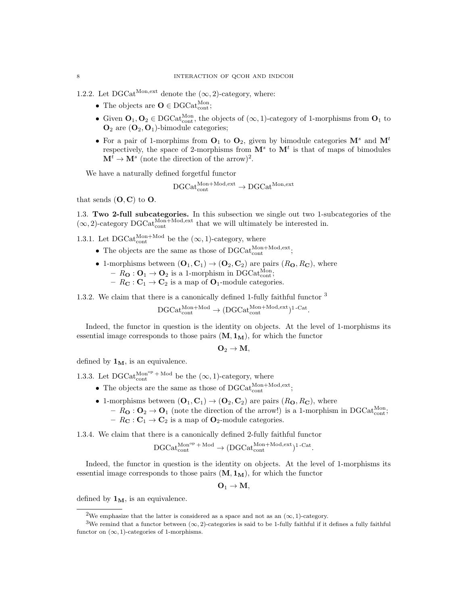1.2.2. Let DGCat<sup>Mon,ext</sup> denote the  $(\infty, 2)$ -category, where:

- The objects are  $O \in DGCat_{cont}^{Mon}$ ;
- Given  $O_1, O_2 \in DGCat_{cont}^{Mon}$ , the objects of  $(\infty, 1)$ -category of 1-morphisms from  $O_1$  to  $\mathbf{O}_2$  are  $(\mathbf{O}_2, \mathbf{O}_1)$ -bimodule categories;
- For a pair of 1-morphims from  $O_1$  to  $O_2$ , given by bimodule categories  $M^s$  and  $M^t$ respectively, the space of 2-morphisms from  $\mathbf{M}^s$  to  $\mathbf{M}^t$  is that of maps of bimodules  $\mathbf{M}^t \to \mathbf{M}^s$  (note the direction of the arrow)<sup>2</sup>.

We have a naturally defined forgetful functor

$$
\mathrm{DGCat}_{\mathrm{cont}}^{\mathrm{Mon+Mod,ext}} \to \mathrm{DGCat}^{\mathrm{Mon,ext}}
$$

that sends  $(O, C)$  to  $O$ .

1.3. Two 2-full subcategories. In this subsection we single out two 1-subcategories of the  $(\infty, 2)$ -category DGCat<sup>Mon+Mod,ext</sup> that we will ultimately be interested in.

1.3.1. Let DGCat<sup>Mon+Mod</sup> be the  $(\infty, 1)$ -category, where

- The objects are the same as those of  $\text{DGCat}_{\text{cont}}^{\text{Mon}+\text{Mod}, \text{ext}}$ ;
- 1-morphisms between  $(O_1, C_1) \rightarrow (O_2, C_2)$  are pairs  $(R_0, R_0)$ , where  $- R_{\mathbf{O}} : \mathbf{O}_1 \to \mathbf{O}_2$  is a 1-morphism in DGCat<sup>Mon</sup><sub>i</sub>;
	- $-R_{\mathbf{C}}: \mathbf{C}_1 \to \mathbf{C}_2$  is a map of  $\mathbf{O}_1$ -module categories.

1.3.2. We claim that there is a canonically defined 1-fully faithful functor <sup>3</sup>

$$
\mathrm{DGCat}_{\mathrm{cont}}^{\mathrm{Mon+Mod}} \rightarrow (\mathrm{DGCat}_{\mathrm{cont}}^{\mathrm{Mon+Mod,ext}})^{1\text{-Cat}}.
$$

Indeed, the functor in question is the identity on objects. At the level of 1-morphisms its essential image corresponds to those pairs  $(M, 1_M)$ , for which the functor

$$
\mathbf{O}_2\rightarrow \mathbf{M},
$$

defined by  $1_M$ , is an equivalence.

1.3.3. Let  $\text{DGCat}_{\text{cont}}^{\text{Mon}^{\text{op}} + \text{Mod}}$  be the  $(\infty, 1)$ -category, where

- The objects are the same as those of  $\text{DGCat}_{\text{cont}}^{\text{Mon}+\text{Mod}, \text{ext}}$ ;
- 1-morphisms between  $(O_1, C_1) \rightarrow (O_2, C_2)$  are pairs  $(R_0, R_0)$ , where
	- $-R_{\mathbf{O}}: \mathbf{O}_2 \to \mathbf{O}_1$  (note the direction of the arrow!) is a 1-morphism in DGCat<sup>Mon</sup><sub>cont</sub>; –  $R_{\mathbf{C}}: \mathbf{C}_1 \to \mathbf{C}_2$  is a map of  $\mathbf{O}_2$ -module categories.

1.3.4. We claim that there is a canonically defined 2-fully faithful functor

$$
\mathrm{DGCat}_{\mathrm{cont}}^{\mathrm{Mon}^{\mathrm{op}}\,+\,\mathrm{Mod}}\rightarrow (\mathrm{DGCat}_{\mathrm{cont}}^{\mathrm{Mon}+\mathrm{Mod},\mathrm{ext}})^{1\,\text{-Cat}}.
$$

Indeed, the functor in question is the identity on objects. At the level of 1-morphisms its essential image corresponds to those pairs  $(M, 1_M)$ , for which the functor

$$
\mathbf{O}_1\rightarrow \mathbf{M},
$$

defined by  $1_M$ , is an equivalence.

<sup>&</sup>lt;sup>2</sup>We emphasize that the latter is considered as a space and not as an  $(\infty, 1)$ -category.

<sup>&</sup>lt;sup>3</sup>We remind that a functor between  $(\infty, 2)$ -categories is said to be 1-fully faithful if it defines a fully faithful functor on  $(\infty, 1)$ -categories of 1-morphisms.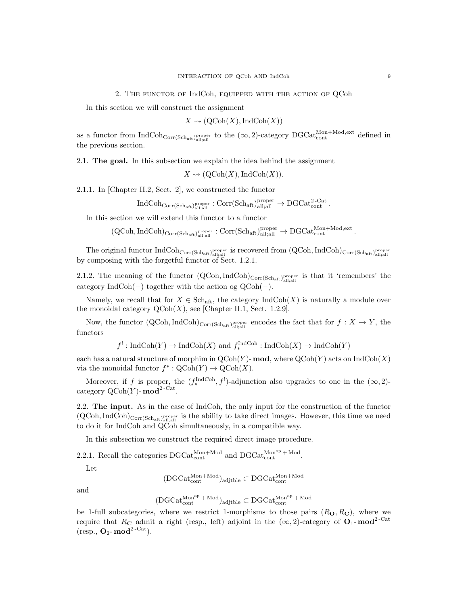In this section we will construct the assignment

$$
X \rightsquigarrow (\mathrm{QCoh}(X), \mathrm{IndCoh}(X))
$$

as a functor from  $\text{IndCoh}_{\text{Corr}(Sch_{\text{aff}},\text{all;all})}$  to the  $(\infty,2)$ -category  $\text{DGCat}_{\text{cont}}^{\text{Mon+Mod,ext}}$  defined in the previous section.

2.1. The goal. In this subsection we explain the idea behind the assignment

 $X \rightsquigarrow (\text{QCoh}(X), \text{IndCoh}(X)).$ 

2.1.1. In [Chapter II.2, Sect. 2], we constructed the functor

 $\mathrm{IndCoh}_{\mathrm{Corr}(\mathrm{Sch}_{\mathrm{aff}},\mathrm{all}^{\mathrm{proper}}_{\mathrm{all}}}: \mathrm{Corr}(\mathrm{Sch}_{\mathrm{aff}},\mathrm{all}^{\mathrm{proper}}_{\mathrm{all}^{\mathrm{all}}}\to \mathrm{DGCat}_{\mathrm{cont}}^{2\text{-Cat}}\,.$ 

In this section we will extend this functor to a functor

 $(\text{QCoh}, \text{IndCoh})_{\text{Corr}(\text{Sch}_{\text{aff}}, \text{all}; \text{all})}^{\text{proper}}: \text{Corr}(\text{Sch}_{\text{aff}}, \text{all}; \text{all}) \rightarrow \text{DGCat}_{\text{cont}}^{\text{Mon}+\text{Mod}, \text{ext}}.$ 

The original functor  $\rm IndCoh_{Corr(Sch_{aff})}^{\rm proper}_{all;all}}$  is recovered from  $\rm (QCoh, IndCoh)_{Corr(Sch_{aff})}^{\rm proper}_{all;all}}$ by composing with the forgetful functor of Sect. 1.2.1.

2.1.2. The meaning of the functor  $(QCoh, IndCoh)_{Corr(Sch<sub>aft</sub>)<sub>all;all</sub><sub>all</sub>}<sub>all;all</sub>$  is that it 'remembers' the category IndCoh(−) together with the action og  $QCoh(-)$ .

Namely, we recall that for  $X \in \text{Sch}_{\text{aff}}$ , the category  $\text{IndCoh}(X)$  is naturally a module over the monoidal category  $\text{QCoh}(X)$ , see [Chapter II.1, Sect. 1.2.9].

Now, the functor  $(QCoh, IndCoh)_{Corr(Sch_{aff})}^{\text{proper}}$  encodes the fact that for  $f: X \to Y$ , the functors

 $f^!: \text{IndCoh}(Y) \to \text{IndCoh}(X)$  and  $f_*^{\text{IndCoh}} : \text{IndCoh}(X) \to \text{IndCoh}(Y)$ 

each has a natural structure of morphim in  $QCoh(Y)$ - mod, where  $QCoh(Y)$  acts on IndCoh $(X)$ via the monoidal functor  $f^* : \mathrm{QCoh}(Y) \to \mathrm{QCoh}(X)$ .

Moreover, if f is proper, the  $(f_*^{\text{IndCoh}}, f')$ -adjunction also upgrades to one in the  $(\infty, 2)$ category  $\mathrm{QCoh}(Y)$ - mod<sup>2-Cat</sup> .

2.2. The input. As in the case of IndCoh, the only input for the construction of the functor  $(QCoh, IndCoh)_{Corr(Sch<sub>af</sub>, p<sub>loop</sub><sup>proper</sup> is the ability to take direct images. However, this time we need$ to do it for IndCoh and QCoh simultaneously, in a compatible way.

In this subsection we construct the required direct image procedure.

2.2.1. Recall the categories  $\text{DGCat}_{\text{cont}}^{\text{Mon+Mod}}$  and  $\text{DGCat}_{\text{cont}}^{\text{Mon}^{\text{op}} + \text{Mod}}$ .

Let

$$
(\text{DGCat}_{\text{cont}}^{\text{Mon+Mod}})_{\text{adjible}} \subset \text{DGCat}_{\text{cont}}^{\text{Mon+Mod}}
$$

and

$$
(\mathrm{DGCat}_{\mathrm{cont}}^{\mathrm{Mon}^{\mathrm{op}}\,+\,\mathrm{Mod}})_{\mathrm{adjible}}\subset \mathrm{DGCat}_{\mathrm{cont}}^{\mathrm{Mon}^{\mathrm{op}}\,+\,\mathrm{Mod}}
$$

be 1-full subcategories, where we restrict 1-morphisms to those pairs  $(R_0, R_0)$ , where we require that R<sub>C</sub> admit a right (resp., left) adjoint in the  $(\infty, 2)$ -category of  $O_1$ -mod<sup>2-Cat</sup> (resp.,  $O_2$ - mod<sup>2-Cat</sup>).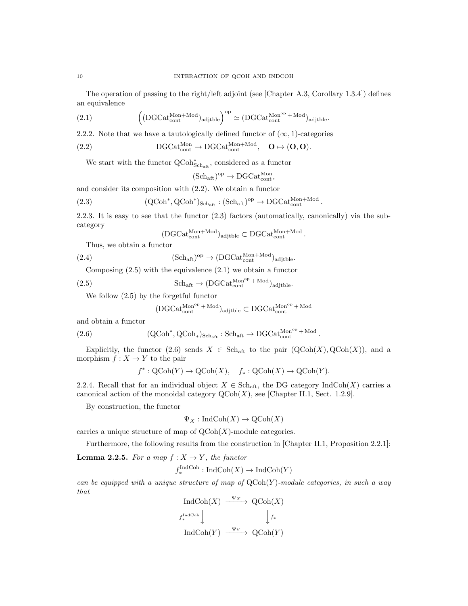The operation of passing to the right/left adjoint (see [Chapter A.3, Corollary 1.3.4]) defines an equivalence

(2.1) 
$$
\left( (DGCat_{cont}^{Mon+Mod})_{adjtble} \right)^{op} \simeq (DGCat_{cont}^{Mon^{op} + Mod})_{adjtble}.
$$

2.2.2. Note that we have a tautologically defined functor of  $(\infty, 1)$ -categories

(2.2) 
$$
DGCat_{cont}^{Mon} \rightarrow DGCat_{cont}^{Mon+Mod}, \quad \mathbf{O} \mapsto (\mathbf{O}, \mathbf{O}).
$$

We start with the functor  $\rm QCoh^*_{Sch_{\rm aff}},$  considered as a functor

 $(Sch_{\text{aft}})^{\text{op}} \to \text{DGCat}_{\text{cont}}^{\text{Mon}},$ 

and consider its composition with (2.2). We obtain a functor

(2.3) 
$$
(\text{QCoh}^*, \text{QCoh}^*)_{\text{Sch}_{\text{aff}}} : (\text{Sch}_{\text{aff}})^{\text{op}} \to \text{DGCat}_{\text{cont}}^{\text{Mon+Mod}}.
$$

2.2.3. It is easy to see that the functor (2.3) factors (automatically, canonically) via the subcategory

$$
(DGCat_{cont}^{Mon+Mod})_{adjthe} \subset DGCat_{cont}^{Mon+Mod}
$$
.

Thus, we obtain a functor

(2.4) 
$$
(Sch_{\text{aft}})^{\text{op}} \to (DGCat_{\text{cont}}^{\text{Mon+Mod}})_{\text{adjtlble}}.
$$

Composing  $(2.5)$  with the equivalence  $(2.1)$  we obtain a functor

(2.5) 
$$
\mathrm{Sch}_{\mathrm{aft}} \to (\mathrm{DGCat}_{\mathrm{cont}}^{\mathrm{Mon}^{\mathrm{op}} + \mathrm{Mod}})_{\mathrm{adjtlble}}.
$$

We follow (2.5) by the forgetful functor

$$
(\mathrm{DGCat}_{\mathrm{cont}}^{\mathrm{Mon}^{op} \, + \, \mathrm{Mod}})_{\mathrm{adjible}} \subset \mathrm{DGCat}_{\mathrm{cont}}^{\mathrm{Mon}^{op} \, + \, \mathrm{Mod}}
$$

and obtain a functor

(2.6) 
$$
(QCoh^*, QCoh_*)_{Sch_{\text{aft}}} : Sch_{\text{aft}} \to DGCat_{\text{cont}}^{Mon^{op} + Mod}.
$$

Explicitly, the functor (2.6) sends  $X \in Sch_{\text{aff}}$  to the pair  $(QCoh(X), QCoh(X)),$  and a morphism  $f: X \to Y$  to the pair

$$
f^* : \mathrm{QCoh}(Y) \to \mathrm{QCoh}(X), \quad f_* : \mathrm{QCoh}(X) \to \mathrm{QCoh}(Y).
$$

2.2.4. Recall that for an individual object  $X \in Sch_{\text{aff}}$ , the DG category IndCoh(X) carries a canonical action of the monoidal category  $\mathrm{QCoh}(X)$ , see [Chapter II.1, Sect. 1.2.9].

By construction, the functor

$$
\Psi_X : \text{IndCoh}(X) \to \text{QCoh}(X)
$$

carries a unique structure of map of  $\mathrm{QCoh}(X)$ -module categories.

Furthermore, the following results from the construction in [Chapter II.1, Proposition 2.2.1]:

**Lemma 2.2.5.** For a map  $f: X \to Y$ , the functor

$$
f_*^{\text{IndCoh}} : \text{IndCoh}(X) \to \text{IndCoh}(Y)
$$

can be equipped with a unique structure of map of  $QCoh(Y)$ -module categories, in such a way that

$$
\operatorname{IndCoh}(X) \xrightarrow{\Psi_X} \operatorname{QCoh}(X)
$$
  
 $f_*^{\operatorname{IndCoh}} \downarrow \qquad \qquad \downarrow f_*$   

$$
\operatorname{IndCoh}(Y) \xrightarrow{\Psi_Y} \operatorname{QCoh}(Y)
$$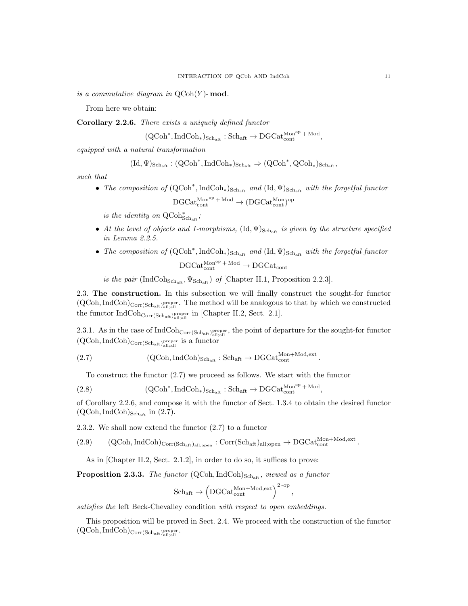is a commutative diagram in  $\mathrm{QCoh}(Y)$ - mod.

From here we obtain:

Corollary 2.2.6. There exists a uniquely defined functor

 $(\mathsf{QCoh}^*, \mathsf{IndCoh}_*)_{\mathsf{Sch}_\mathsf{aft}} : \mathsf{Sch}_\mathsf{aft} \to \mathsf{DGCat}_\mathsf{cont}^{\mathsf{Mon}^\mathsf{op} + \mathsf{Mod}} ,$ 

equipped with a natural transformation

$$
(\mathrm{Id},\Psi)_{{\mathrm{Sch}}_{\mathrm{aff}}}:({\mathrm{QCoh}}^*,{\mathrm{Ind}}{\mathrm{Coh}}_*)_{\mathrm{Sch}_{\mathrm{aff}}}\Rightarrow({\mathrm{QCoh}}^*,{\mathrm{QCoh}}_*)_{\mathrm{Sch}_{\mathrm{aff}}},
$$

such that

• The composition of  $(QCoh^*, IndCoh_*)_{Sch_{aff}}$  and  $(Id, \Psi)_{Sch_{aff}}$  with the forgetful functor  $\text{DGCat}_{\text{cont}}^{\text{Mon} \text{op}} + \text{Mod} \rightarrow (\text{DGCat}_{\text{cont}}^{\text{Mon}})^{\text{op}}$ 

is the identity on  $\mathsf{QCoh}^*_{\mathsf{Sch}_\mathsf{aff}}$ ;

- At the level of objects and 1-morphisms,  $(\mathrm{Id}, \Psi)_{\mathrm{Sch}_{\mathrm{aff}}}$  is given by the structure specified in Lemma 2.2.5.
- The composition of  $(QCoh^*, IndCoh_*)_{Sch_{aff}}$  and  $(Id, \Psi)_{Sch_{aff}}$  with the forgetful functor  $\mathrm{DGCat}_{\mathrm{cont}}^{\mathrm{Mon}^{\mathrm{op}}+\mathrm{Mod}}\to \mathrm{DGCat}_{\mathrm{cont}}$

is the pair  $(IndCoh_{Sch_{\text{aff}}}, \Psi_{Sch_{\text{aff}}})$  of [Chapter II.1, Proposition 2.2.3].

2.3. The construction. In this subsection we will finally construct the sought-for functor  $(QCoh, IndCoh)_{Corr(Sch_{aff})_{all;all}}$ . The method will be analogous to that by which we constructed the functor  $IndCoh_{Corr(Sch_{aff})<sub>all;all</sub><sub>all</sub>}<sub>all;all</sub>$  in [Chapter II.2, Sect. 2.1].

2.3.1. As in the case of  $\text{IndCoh}_{\text{Corr}(Sch_{\text{aff}},\text{all};\text{all})}$ , the point of departure for the sought-for functor  $(QCoh, IndCoh)_{Corr(Sch_{aff})}_{all;all}$  is a functor

(2.7) 
$$
(QCoh, IndCoh)_{Sch_{\text{aff}}} : Sch_{\text{aff}} \to DGCat_{\text{cont}}^{Mon+Mod, ext}.
$$

To construct the functor (2.7) we proceed as follows. We start with the functor

(2.8) 
$$
(QCoh^*, IndCoh_*)_{Sch_{aff}} : Sch_{aff} \to DGCat_{cont}^{Mon^{op} + Mod},
$$

of Corollary 2.2.6, and compose it with the functor of Sect. 1.3.4 to obtain the desired functor  $(QCoh, IndCoh)_{Sch_{\text{aff}}}\text{ in } (2.7).$ 

2.3.2. We shall now extend the functor (2.7) to a functor

 $(2.9) \qquad {\rm (QCoh, IndCoh)}_{\rm Corr(Sch_{aff})_{all;open}}: Corr(Sch_{aff})_{all;open} \to {\rm DGCat}_{\rm cont}^{{\rm Mon+Mod,ext}}.$ 

As in [Chapter II.2, Sect. 2.1.2], in order to do so, it suffices to prove:

**Proposition 2.3.3.** The functor  $(QCoh, IndCoh)_{Sch_{aff}}$ , viewed as a functor

$$
\mathrm{Sch}_{\mathrm{aft}}\rightarrow \left(\mathrm{DGCat}_{\mathrm{cont}}^{\mathrm{Mon+Mod,ext}}\right)^{2\text{-op}},
$$

satisfies the left Beck-Chevalley condition with respect to open embeddings.

This proposition will be proved in Sect. 2.4. We proceed with the construction of the functor  $(\mathsf{QCoh}, \mathsf{IndCoh})_{\mathsf{Corr}(\mathsf{Sch}_\mathrm{aff})^\mathrm{proper}_\mathrm{all;all}}.$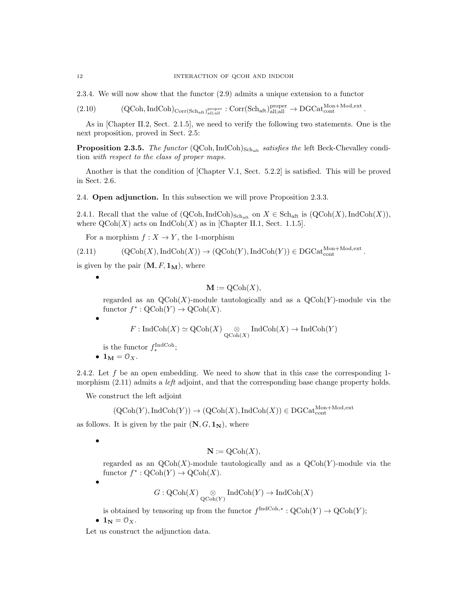2.3.4. We will now show that the functor (2.9) admits a unique extension to a functor

 $(2.10)$   $(QCoh, IndCoh)_{Corr(Sch_{aff})<sub>all;all</sub><sub>all</sub>}<sub>lall</sub>}<sub>all;all</sub> \rightarrow DGCat<sub>cont</sub><sup>Mon+Mod, ext</sup>.$ 

As in [Chapter II.2, Sect. 2.1.5], we need to verify the following two statements. One is the next proposition, proved in Sect. 2.5:

**Proposition 2.3.5.** The functor  $(QCoh, IndCoh)_{Schat}$  satisfies the left Beck-Chevalley condition with respect to the class of proper maps.

Another is that the condition of [Chapter V.1, Sect. 5.2.2] is satisfied. This will be proved in Sect. 2.6.

2.4. Open adjunction. In this subsection we will prove Proposition 2.3.3.

2.4.1. Recall that the value of  $(QCoh, IndCoh)_{Sch_{aff}}$  on  $X \in Sch_{aff}$  is  $(QCoh(X), IndCoh(X)),$ where  $\text{QCoh}(X)$  acts on IndCoh $(X)$  as in [Chapter II.1, Sect. 1.1.5].

For a morphism  $f : X \to Y$ , the 1-morphism

$$
(2.11) \qquad \qquad (\text{QCoh}(X), \text{IndCoh}(X)) \to (\text{QCoh}(Y), \text{IndCoh}(Y)) \in \text{DGCat}_{\text{cont}}^{\text{Mon}+\text{Mod}, \text{ext}}.
$$

is given by the pair  $(M, F, 1_M)$ , where

•

•

$$
\mathbf{M} := \mathrm{QCoh}(X),
$$

regarded as an  $\mathrm{QCoh}(X)$ -module tautologically and as a  $\mathrm{QCoh}(Y)$ -module via the functor  $f^* : \text{QCoh}(Y) \to \text{QCoh}(X)$ .

$$
F: \operatorname{IndCoh}(X) \simeq \operatorname{QCoh}(X) \underset{\operatorname{QCoh}(X)}{\otimes} \operatorname{IndCoh}(X) \to \operatorname{IndCoh}(Y)
$$

is the functor  $f_*^{\text{IndCoh}}$ ;

•  $\mathbf{1_M} = \mathcal{O}_X$ .

2.4.2. Let  $f$  be an open embedding. We need to show that in this case the corresponding 1morphism  $(2.11)$  admits a *left* adjoint, and that the corresponding base change property holds.

We construct the left adjoint

$$
(\mathrm{QCoh}(Y), \mathrm{IndCoh}(Y)) \to (\mathrm{QCoh}(X), \mathrm{IndCoh}(X)) \in \mathrm{DGCat}_{\mathrm{cont}}^{\mathrm{Mon+Mod,ext}}
$$

as follows. It is given by the pair  $(N, G, 1_N)$ , where

•

$$
\mathbf{N} := \mathrm{QCoh}(X),
$$

regarded as an  $QCoh(X)$ -module tautologically and as a  $QCoh(Y)$ -module via the functor  $f^* : \text{QCoh}(Y) \to \text{QCoh}(X)$ .

•

$$
G:\operatorname{QCoh}(X)\underset{\operatorname{QCoh}(Y)}{\otimes}\operatorname{IndCoh}(Y)\to\operatorname{IndCoh}(X)
$$

is obtained by tensoring up from the functor  $f^{\text{IndCoh},*}: \text{QCoh}(Y) \to \text{QCoh}(Y)$ ; •  $\mathbf{1_N} = \mathbf{0_X}$ .

Let us construct the adjunction data.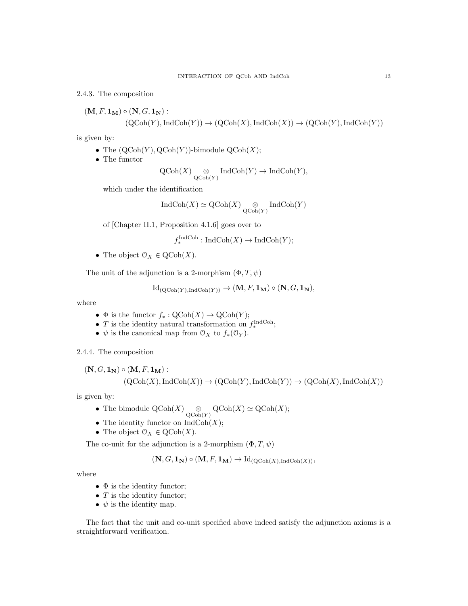2.4.3. The composition

$$
(\mathbf{M}, F, \mathbf{1}_{\mathbf{M}}) \circ (\mathbf{N}, G, \mathbf{1}_{\mathbf{N}}):(QCoh(Y), IndCoh(Y)) \to (QCoh(X), IndCoh(X)) \to (QCoh(Y), IndCoh(Y))
$$

is given by:

- The  $(QCoh(Y), QCoh(Y))$ -bimodule  $QCoh(X)$ ;
- The functor

$$
\operatorname{QCoh}(X) \underset{\operatorname{QCoh}(Y)}{\otimes} \operatorname{IndCoh}(Y) \to \operatorname{IndCoh}(Y),
$$

which under the identification

$$
\operatorname{IndCoh}(X) \simeq \operatorname{QCoh}(X) \underset{\operatorname{QCoh}(Y)}{\otimes} \operatorname{IndCoh}(Y)
$$

of [Chapter II.1, Proposition 4.1.6] goes over to

$$
f_*^{\text{IndCoh}} : \text{IndCoh}(X) \to \text{IndCoh}(Y);
$$

• The object  $\mathcal{O}_X \in \text{QCoh}(X)$ .

The unit of the adjunction is a 2-morphism  $(\Phi, T, \psi)$ 

$$
Id_{(\mathrm{QCoh}(Y), \mathrm{IndCoh}(Y))} \to (\mathbf{M}, F, \mathbf{1}_{\mathbf{M}}) \circ (\mathbf{N}, G, \mathbf{1}_{\mathbf{N}}),
$$

where

- $\Phi$  is the functor  $f_*: \mathrm{QCoh}(X) \to \mathrm{QCoh}(Y)$ ;
- T is the identity natural transformation on  $f_*^{\text{IndCoh}}$ ;
- $\psi$  is the canonical map from  $\mathcal{O}_X$  to  $f_*(\mathcal{O}_Y)$ .

2.4.4. The composition

$$
(\mathbf{N}, G, \mathbf{1}_{\mathbf{N}}) \circ (\mathbf{M}, F, \mathbf{1}_{\mathbf{M}}):(QCoh(X), IndCoh(X)) \to (QCoh(Y), IndCoh(Y)) \to (QCoh(X), IndCoh(X))
$$

is given by:

- The bimodule  $\mathrm{QCoh}(X) \underset{\mathrm{QCoh}(Y)}{\otimes} \mathrm{QCoh}(X) \simeq \mathrm{QCoh}(X);$
- The identity functor on  $\mathrm{IndCoh}(X);$
- The object  $\mathcal{O}_X \in \text{QCoh}(X)$ .

The co-unit for the adjunction is a 2-morphism  $(\Phi, T, \psi)$ 

$$
(\mathbf{N}, G, \mathbf{1_N}) \circ (\mathbf{M}, F, \mathbf{1_M}) \to \mathrm{Id}_{(\mathrm{QCoh}(X), \mathrm{IndCoh}(X))},
$$

where

- $\bullet$   $\Phi$  is the identity functor;
- $T$  is the identity functor;
- $\psi$  is the identity map.

The fact that the unit and co-unit specified above indeed satisfy the adjunction axioms is a straightforward verification.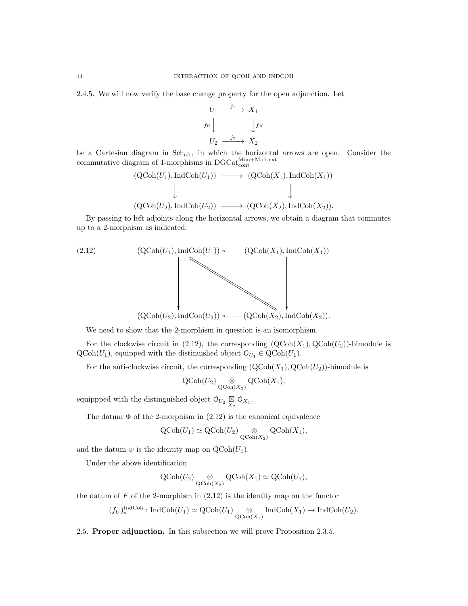2.4.5. We will now verify the base change property for the open adjunction. Let

$$
U_1 \xrightarrow{j_1} X_1
$$
  
\n $f_U \downarrow \qquad \qquad \downarrow f_X$   
\n $U_2 \xrightarrow{j_2} X_2$ 

be a Cartesian diagram in Schaft, in which the horizontal arrows are open. Consider the commutative diagram of 1-morphisms in  $DGCat_{cont}^{Mon+Mod,ext}$ 

$$
(QCoh(U_1), IndCoh(U_1)) \longrightarrow (QCoh(X_1), IndCoh(X_1))
$$
  
\n
$$
\downarrow \qquad \qquad \downarrow
$$
  
\n
$$
(QCoh(U_2), IndCoh(U_2)) \longrightarrow (QCoh(X_2), IndCoh(X_2)).
$$

By passing to left adjoints along the horizontal arrows, we obtain a diagram that commutes up to a 2-morphism as indicated:



We need to show that the 2-morphism in question is an isomorphism.

For the clockwise circuit in (2.12), the corresponding  $(QCoh(X_1), QCoh(U_2))$ -bimodule is  $\text{QCoh}(U_1)$ , equipped with the distinuished object  $\mathcal{O}_{U_1} \in \text{QCoh}(U_1)$ .

For the anti-clockwise circuit, the corresponding  $(QCoh(X_1), QCoh(U_2))$ -bimodule is

$$
\operatorname{QCoh}(U_2) \underset{\operatorname{QCoh}(X_2)}{\otimes} \operatorname{QCoh}(X_1),
$$

equippped with the distinguished object  $\mathcal{O}_{U_2} \underset{X_2}{\boxtimes} \mathcal{O}_{X_1}$ .

The datum  $\Phi$  of the 2-morphism in (2.12) is the canonical equivalence

$$
\operatorname{QCoh}(U_1)\simeq \operatorname{QCoh}(U_2)\underset{\operatorname{QCoh}(X_2)}{\otimes}\operatorname{QCoh}(X_1),
$$

and the datum  $\psi$  is the identity map on  $\text{QCoh}(U_1)$ .

Under the above identification

$$
\operatorname{QCoh}(U_2) \underset{\operatorname{QCoh}(X_2)}{\otimes} \operatorname{QCoh}(X_1) \simeq \operatorname{QCoh}(U_1),
$$

the datum of  $F$  of the 2-morphism in  $(2.12)$  is the identity map on the functor

$$
(f_U)_*^{\text{IndCoh}} : \text{IndCoh}(U_1) \simeq \text{QCoh}(U_1) \underset{\text{QCoh}(X_1)}{\otimes} \text{IndCoh}(X_1) \to \text{IndCoh}(U_2).
$$

2.5. Proper adjunction. In this subsection we will prove Proposition 2.3.5.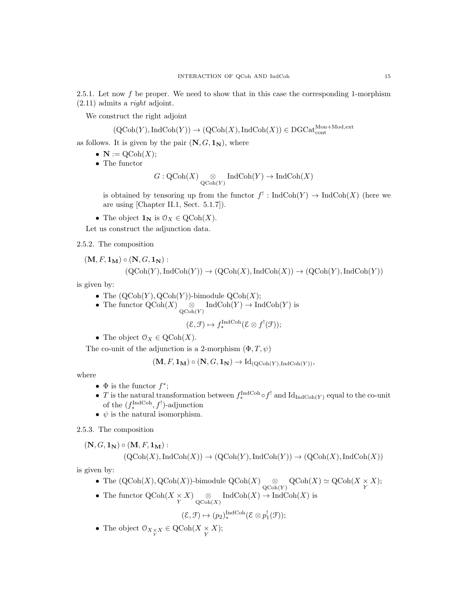2.5.1. Let now f be proper. We need to show that in this case the corresponding 1-morphism (2.11) admits a right adjoint.

We construct the right adjoint

$$
(\mathrm{QCoh}(Y), \mathrm{IndCoh}(Y)) \to (\mathrm{QCoh}(X), \mathrm{IndCoh}(X)) \in \mathrm{DGCat}_{\mathrm{cont}}^{\mathrm{Mon} + \mathrm{Mod}, \mathrm{ext}}
$$

as follows. It is given by the pair  $(N, G, 1_N)$ , where

- $\mathbf{N} := \mathrm{QCoh}(X);$
- The functor

$$
G:\text{QCoh}(X)\underset{\text{QCoh}(Y)}{\otimes}\text{IndCoh}(Y)\to\text{IndCoh}(X)
$$

is obtained by tensoring up from the functor  $f' : \text{IndCoh}(Y) \to \text{IndCoh}(X)$  (here we are using [Chapter II.1, Sect. 5.1.7]).

• The object  $\mathbf{1}_{N}$  is  $\mathcal{O}_{X} \in \text{QCoh}(X)$ .

Let us construct the adjunction data.

2.5.2. The composition

$$
(\mathbf{M}, F, \mathbf{1}_{\mathbf{M}}) \circ (\mathbf{N}, G, \mathbf{1}_{\mathbf{N}}):
$$

$$
(\mathrm{QCoh}(Y), \mathrm{IndCoh}(Y)) \to (\mathrm{QCoh}(X), \mathrm{IndCoh}(X)) \to (\mathrm{QCoh}(Y), \mathrm{IndCoh}(Y))
$$

is given by:

- The  $(QCoh(Y), QCoh(Y))$ -bimodule  $QCoh(X)$ ;
- The functor  $\mathrm{QCoh}(X) \underset{\mathrm{QCoh}(Y)}{\otimes} \mathrm{IndCoh}(Y) \to \mathrm{IndCoh}(Y)$  is
	-

$$
(\mathcal{E}, \mathcal{F}) \mapsto f_*^{\text{IndCoh}}(\mathcal{E} \otimes f^!(\mathcal{F}));
$$

• The object  $\mathcal{O}_X \in \mathrm{QCoh}(X)$ .

The co-unit of the adjunction is a 2-morphism  $(\Phi, T, \psi)$ 

 $(M, F, 1_M) \circ (N, G, 1_N) \to Id_{(QCoh(Y), IndCoh(Y))},$ 

where

- $\Phi$  is the functor  $f^*$ ;
- T is the natural transformation between  $f_*^{\text{IndCoh}} \circ f^!$  and  $\text{Id}_{\text{IndCoh}(Y)}$  equal to the co-unit of the  $(f_*^{\text{IndCoh}}, f')$ -adjunction
- $\psi$  is the natural isomorphism.

2.5.3. The composition

$$
(\mathbf{N}, G, \mathbf{1}_{\mathbf{N}}) \circ (\mathbf{M}, F, \mathbf{1}_{\mathbf{M}}):(QCoh(X), IndCoh(X)) \to (QCoh(Y), IndCoh(Y)) \to (QCoh(X), IndCoh(X))
$$

is given by:

- The  $(QCoh(X), QCoh(X))$ -bimodule  $QCoh(X) \underset{QCoh(Y)}{\otimes} QCoh(X) \simeq QCoh(X \times X);$
- The functor  $\mathrm{QCoh}(X \times X)$   $\underset{\mathrm{QCoh}(X)}{\otimes} \mathrm{IndCoh}(X) \to \mathrm{IndCoh}(X)$  is

$$
(\mathcal{E},\mathcal{F})\mapsto (p_2)_*^{\operatorname{IndCoh}}(\mathcal{E}\otimes p_1^!(\mathcal{F}));
$$

• The object  $\mathcal{O}_{X \underset{Y}{\times} X} \in \mathrm{QCoh}(X \underset{Y}{\times} X);$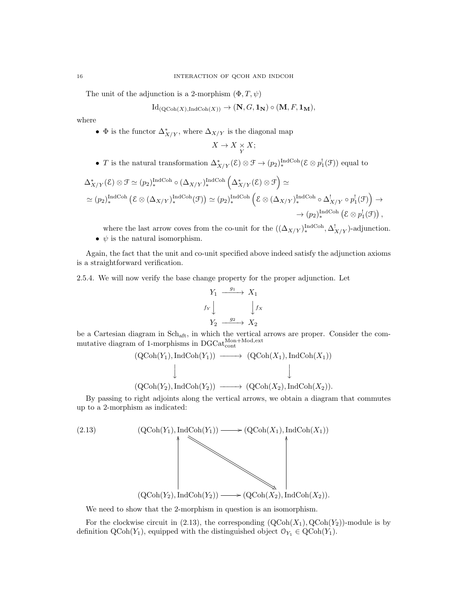The unit of the adjunction is a 2-morphism  $(\Phi, T, \psi)$ 

$$
Id_{(\mathrm{QCoh}(X),\mathrm{IndCoh}(X))} \to (\mathbf{N}, G, \mathbf{1}_{\mathbf{N}}) \circ (\mathbf{M}, F, \mathbf{1}_{\mathbf{M}}),
$$

where

•  $\Phi$  is the functor  $\Delta^*_{X/Y}$ , where  $\Delta_{X/Y}$  is the diagonal map

$$
X\to X\underset{Y}{\times}X;
$$

• T is the natural transformation  $\Delta^*_{X/Y}(\mathcal{E}) \otimes \mathcal{F} \to (p_2)^{\text{IndCoh}}_* (\mathcal{E} \otimes p_1^!(\mathcal{F}))$  equal to

$$
\Delta_{X/Y}^*(\mathcal{E}) \otimes \mathcal{F} \simeq (p_2)_*^{\text{IndCoh}} \circ (\Delta_{X/Y})_*^{\text{IndCoh}} \left( \Delta_{X/Y}^*(\mathcal{E}) \otimes \mathcal{F} \right) \simeq
$$
  
\simeq (p\_2)\_\*^{\text{IndCoh}} \left( \mathcal{E} \otimes (\Delta\_{X/Y})\_\*^{\text{IndCoh}}(\mathcal{F}) \right) \simeq (p\_2)\_\*^{\text{IndCoh}} \left( \mathcal{E} \otimes (\Delta\_{X/Y})\_\*^{\text{IndCoh}} \circ \Delta\_{X/Y}^! \circ p\_1^!(\mathcal{F}) \right) \to  
\t $\rightarrow (p_2)_*^{\text{IndCoh}} \left( \mathcal{E} \otimes p_1^!(\mathcal{F}) \right),$ 

where the last arrow coves from the co-unit for the  $((\Delta_{X/Y})_*^{\text{IndCoh}}, \Delta^!_{X/Y})$ -adjunction. •  $\psi$  is the natural isomorphism.

Again, the fact that the unit and co-unit specified above indeed satisfy the adjunction axioms is a straightforward verification.

2.5.4. We will now verify the base change property for the proper adjunction. Let

$$
Y_1 \xrightarrow{g_1} X_1
$$
  

$$
f_Y \downarrow \qquad \qquad \downarrow f_X
$$
  

$$
Y_2 \xrightarrow{g_2} X_2
$$

be a Cartesian diagram in Schaft, in which the vertical arrows are proper. Consider the commutative diagram of 1-morphisms in  $DGCat_{cont}^{Mon+Mod,ext}$ 

$$
(QCoh(Y_1), IndCoh(Y_1)) \longrightarrow (QCoh(X_1), IndCoh(X_1))
$$
  

$$
\downarrow \qquad \qquad \downarrow
$$
  

$$
(QCoh(Y_2), IndCoh(Y_2)) \longrightarrow (QCoh(X_2), IndCoh(X_2)).
$$

By passing to right adjoints along the vertical arrows, we obtain a diagram that commutes up to a 2-morphism as indicated:

(2.13)  
\n
$$
(QCoh(Y_1), IndCoh(Y_1)) \longrightarrow (QCoh(X_1), IndCoh(X_1))
$$
\n
$$
(QCoh(Y_2), IndCoh(Y_2)) \longrightarrow (QCoh(X_2), IndCoh(X_2)).
$$

We need to show that the 2-morphism in question is an isomorphism.

For the clockwise circuit in (2.13), the corresponding  $(QCoh(X_1), QCoh(Y_2))$ -module is by definition  $\text{QCoh}(Y_1)$ , equipped with the distinguished object  $\mathcal{O}_{Y_1} \in \text{QCoh}(Y_1)$ .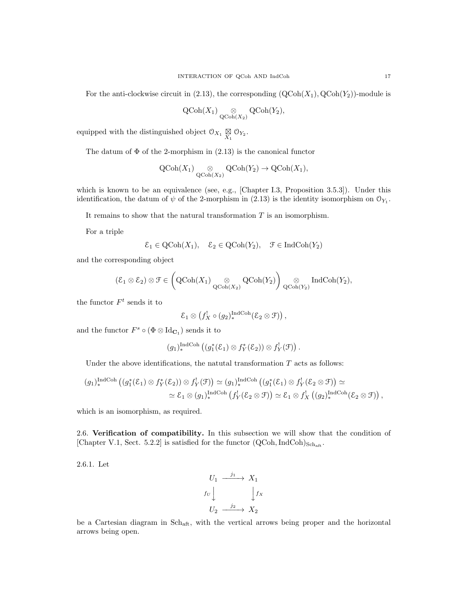$$
\operatorname{QCoh}(X_1) \underset{\operatorname{QCoh}(X_2)}{\otimes} \operatorname{QCoh}(Y_2),
$$

equipped with the distinguished object  $\mathfrak{O}_{X_1} \underset{X_1}{\boxtimes} \mathfrak{O}_{Y_2}$ .

The datum of  $\Phi$  of the 2-morphism in (2.13) is the canonical functor

$$
\operatorname{QCoh}(X_1) \underset{\operatorname{QCoh}(X_2)}{\otimes} \operatorname{QCoh}(Y_2) \to \operatorname{QCoh}(X_1),
$$

which is known to be an equivalence (see, e.g., [Chapter I.3, Proposition 3.5.3]). Under this identification, the datum of  $\psi$  of the 2-morphism in (2.13) is the identity isomorphism on  $\mathcal{O}_{Y_1}$ .

It remains to show that the natural transformation  $T$  is an isomorphism.

For a triple

$$
\mathcal{E}_1 \in \mathrm{QCoh}(X_1), \quad \mathcal{E}_2 \in \mathrm{QCoh}(Y_2), \quad \mathcal{F} \in \mathrm{IndCoh}(Y_2)
$$

and the corresponding object

$$
(\mathcal{E}_1 \otimes \mathcal{E}_2) \otimes \mathcal{F} \in \left(\mathrm{QCoh}(X_1) \underset{\mathrm{QCoh}(X_2)}{\otimes} \mathrm{QCoh}(Y_2)\right) \underset{\mathrm{QCoh}(Y_2)}{\otimes} \mathrm{IndCoh}(Y_2),
$$

the functor  $F<sup>t</sup>$  sends it to

$$
\mathcal{E}_1 \otimes \left(f_X^! \circ (g_2)_*^{\mathrm{IndCoh}}(\mathcal{E}_2 \otimes \mathcal{F})\right),\,
$$

and the functor  $F^s \circ (\Phi \otimes \mathrm{Id}_{\mathbf{C}_1})$  sends it to

$$
(g_1)_*^{\text{IndCoh}} ((g_1^*(\mathcal{E}_1) \otimes f_Y^*(\mathcal{E}_2)) \otimes f_Y^!(\mathcal{F})).
$$

Under the above identifications, the natural transformation  $T$  acts as follows:

$$
(g_1)_*^{\text{IndCoh}} ((g_1^*(\mathcal{E}_1) \otimes f_Y^*(\mathcal{E}_2)) \otimes f_Y^!(\mathcal{F})) \simeq (g_1)_*^{\text{IndCoh}} ((g_1^*(\mathcal{E}_1) \otimes f_Y^!(\mathcal{E}_2 \otimes \mathcal{F})) \simeq
$$
  

$$
\simeq \mathcal{E}_1 \otimes (g_1)_*^{\text{IndCoh}} (f_Y^!(\mathcal{E}_2 \otimes \mathcal{F})) \simeq \mathcal{E}_1 \otimes f_X^!( (g_2)_*^{\text{IndCoh}} (\mathcal{E}_2 \otimes \mathcal{F})),
$$

which is an isomorphism, as required.

2.6. Verification of compatibility. In this subsection we will show that the condition of [Chapter V.1, Sect. 5.2.2] is satisfied for the functor  $(QCoh,IndCoh)_{Sch,att}$ .

2.6.1. Let

$$
U_1 \xrightarrow{j_1} X_1
$$
  
\n $f_U \downarrow \qquad \qquad \downarrow f_X$   
\n $U_2 \xrightarrow{j_2} X_2$ 

be a Cartesian diagram in Schaft, with the vertical arrows being proper and the horizontal arrows being open.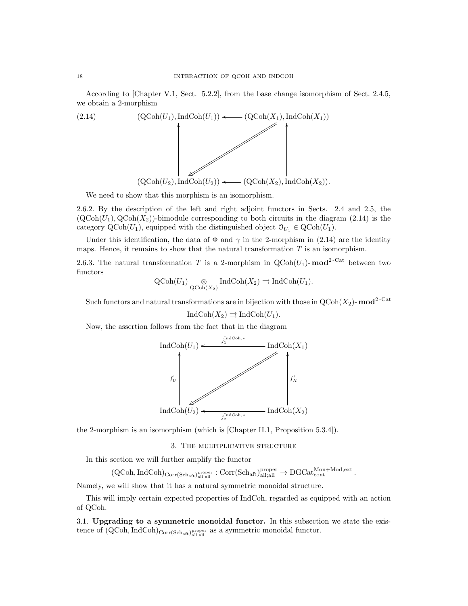According to [Chapter V.1, Sect. 5.2.2], from the base change isomorphism of Sect. 2.4.5, we obtain a 2-morphism



We need to show that this morphism is an isomorphism.

2.6.2. By the description of the left and right adjoint functors in Sects. 2.4 and 2.5, the  $({\rm QCoh}(U_1), {\rm QCoh}(X_2))$ -bimodule corresponding to both circuits in the diagram (2.14) is the category  $\text{QCoh}(U_1)$ , equipped with the distinguished object  $\mathcal{O}_{U_1} \in \text{QCoh}(U_1)$ .

Under this identification, the data of  $\Phi$  and  $\gamma$  in the 2-morphism in (2.14) are the identity maps. Hence, it remains to show that the natural transformation  $T$  is an isomorphism.

2.6.3. The natural transformation T is a 2-morphism in  $\text{QCoh}(U_1)$ - mod<sup>2-Cat</sup> between two functors

$$
\operatorname{QCoh}(U_1) \underset{\operatorname{QCoh}(X_2)}{\otimes} \operatorname{IndCoh}(X_2) \rightrightarrows \operatorname{IndCoh}(U_1).
$$

Such functors and natural transformations are in bijection with those in  $Q\text{Coh}(X_2)$ -  $\text{mod}^2$ <sup>-Cat</sup>

$$
IndCoh(X_2) \rightrightarrows IndCoh(U_1).
$$

Now, the assertion follows from the fact that in the diagram



the 2-morphism is an isomorphism (which is [Chapter II.1, Proposition 5.3.4]).

3. The multiplicative structure

In this section we will further amplify the functor

 $(\text{QCoh}, \text{IndCoh})_{\text{Corr}(\text{Sch}_{\text{aff}}, \text{all}; \text{all})}^{\text{proper}} : \text{Corr}(\text{Sch}_{\text{aff}}, \text{all}; \text{all}) \rightarrow \text{DGCat}_{\text{cont}}^{\text{Mon}+\text{Mod}, \text{ext}}.$ 

Namely, we will show that it has a natural symmetric monoidal structure.

This will imply certain expected properties of IndCoh, regarded as equipped with an action of QCoh.

3.1. Upgrading to a symmetric monoidal functor. In this subsection we state the existence of  $(QCoh, IndCoh)_{Corr(Sch<sub>aff</sub>)}^{proper}$  as a symmetric monoidal functor.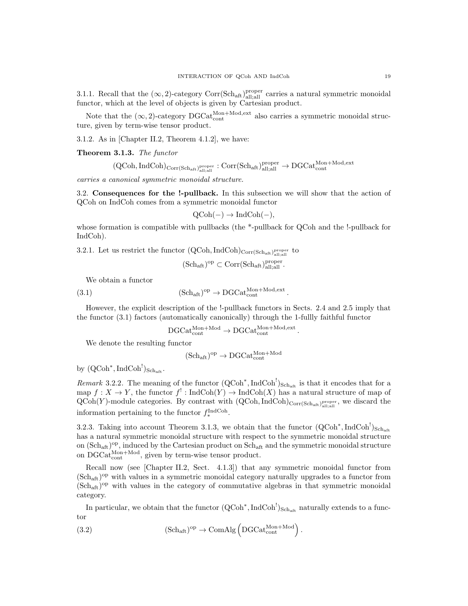3.1.1. Recall that the  $(\infty, 2)$ -category Corr(Sch<sub>aft)</sub><sup>proper</sup> carries a natural symmetric monoidal functor, which at the level of objects is given by Cartesian product.

Note that the  $(\infty, 2)$ -category  $DGCat_{\text{cont}}^{\text{Mon+Mod,ext}}$  also carries a symmetric monoidal structure, given by term-wise tensor product.

3.1.2. As in [Chapter II.2, Theorem 4.1.2], we have:

Theorem 3.1.3. The functor

 ${\rm (QCoh, IndCoh)_{Corr(Sch_{aft})_{{\rm all}; {\rm all}}^{\rm proper}}}: {\rm Corr(Sch_{aft})_{{\rm all}; {\rm all}}^{\rm proper}} \rightarrow {\rm DGCat}_{\rm cont}^{\rm Mon+Mod, {\rm ext}}$ 

carries a canonical symmetric monoidal structure.

3.2. Consequences for the !-pullback. In this subsection we will show that the action of QCoh on IndCoh comes from a symmetric monoidal functor

$$
QCoh(-) \rightarrow IndCoh(-),
$$

whose formation is compatible with pullbacks (the \*-pullback for QCoh and the !-pullback for IndCoh).

3.2.1. Let us restrict the functor  $(QCoh, IndCoh)_{Corr(Sch<sub>aff</sub>)<sub>all;all</sub><sub>all;all</sub>}$  to

$$
(\mathrm{Sch}_{\mathrm{aft}})^{\mathrm{op}}\subset \mathrm{Corr}(\mathrm{Sch}_{\mathrm{aft}})^{\mathrm{proper}}_{\mathrm{all;all}}.
$$

We obtain a functor

(3.1) 
$$
(\text{Sch}_{\text{aft}})^{\text{op}} \to \text{DGCat}_{\text{cont}}^{\text{Mon}+\text{Mod},\text{ext}}.
$$

However, the explicit description of the !-pullback functors in Sects. 2.4 and 2.5 imply that the functor (3.1) factors (automatically canonically) through the 1-fullly faithful functor

$$
\mathrm{DGCat}_{\mathrm{cont}}^{\mathrm{Mon+Mod}} \to \mathrm{DGCat}_{\mathrm{cont}}^{\mathrm{Mon+Mod,ext}}.
$$

We denote the resulting functor

$$
(\mathrm{Sch}_{\mathrm{aft}})^{\mathrm{op}}\to \mathrm{DGCat}_{\mathrm{cont}}^{\mathrm{Mon+Mod}}
$$

by  $({\rm QCoh}^*, {\rm IndCoh}^!)_{\rm Sch_{aft}}.$ 

*Remark* 3.2.2. The meaning of the functor  $(QCoh^*, IndCoh^!)_{Sch_{aff}}$  is that it encodes that for a map  $f: X \to Y$ , the functor  $f' : \text{IndCoh}(Y) \to \text{IndCoh}(X)$  has a natural structure of map of  $Q\text{Coh}(Y)$ -module categories. By contrast with  $(Q\text{Coh}, \text{IndCoh})_{\text{Corr}(Sch_{\text{aff}},\text{l}^{\text{proper}}_{\text{all,all}})}$ , we discard the information pertaining to the functor  $f_*^{\text{IndCoh}}$ .

3.2.3. Taking into account Theorem 3.1.3, we obtain that the functor  $(QCoh^*, IndCoh^!)_{Sch_{\n{aft}}}$ has a natural symmetric monoidal structure with respect to the symmetric monoidal structure on  $(\text{Sch}_{\text{aff}})^\text{op}$ , induced by the Cartesian product on  $\text{Sch}_{\text{aff}}$  and the symmetric monoidal structure on  $\text{DGCat}_{\text{cont}}^{\text{Mon+Mod}}$ , given by term-wise tensor product.

Recall now (see [Chapter II.2, Sect. 4.1.3]) that any symmetric monoidal functor from (Sch<sub>aft</sub>)<sup>op</sup> with values in a symmetric monoidal category naturally upgrades to a functor from (Schaft) op with values in the category of commutative algebras in that symmetric monoidal category.

In particular, we obtain that the functor  $(QCoh^*$ , IndCoh<sup>!</sup>)<sub>Sch<sub>aft</sub> naturally extends to a func-</sub> tor

(3.2) 
$$
(\text{Sch}_{\text{aft}})^{\text{op}} \to \text{ComAlg}\left(\text{DGCat}_{\text{cont}}^{\text{Mon+Mod}}\right).
$$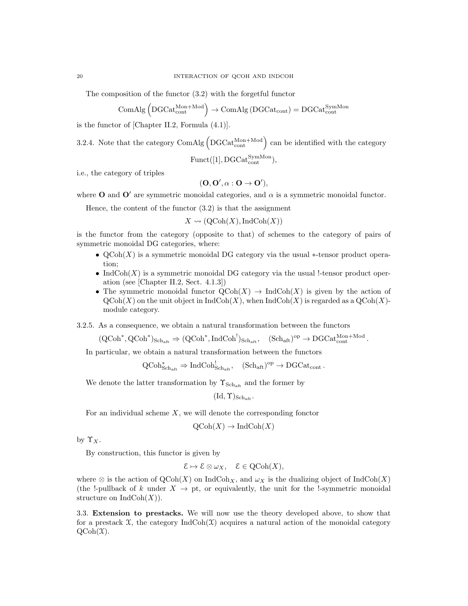The composition of the functor (3.2) with the forgetful functor

$$
\operatorname{ComAlg}\left(\operatorname{DGCat_{cont}^{Mon+Mod}}\right)\to \operatorname{ComAlg}\left(\operatorname{DGCat_{cont}}\right)=\operatorname{DGCat_{cont}^{SymMon}}
$$

is the functor of [Chapter II.2, Formula (4.1)].

3.2.4. Note that the category  $\text{ComAlg}$   $\left(\text{DGCat}_{\text{cont}}^{\text{Mon+Mod}}\right)$  can be identified with the category

 $\text{Funct}([1], \text{DGCat}_{\text{cont}}^{\text{SymMon}}),$ 

i.e., the category of triples

$$
(\mathbf{O},\mathbf{O}',\alpha:\mathbf{O}\to\mathbf{O}'),
$$

where O and  $\mathbf{O}'$  are symmetric monoidal categories, and  $\alpha$  is a symmetric monoidal functor.

Hence, the content of the functor  $(3.2)$  is that the assignment

 $X \rightsquigarrow (QCoh(X), IndCoh(X))$ 

is the functor from the category (opposite to that) of schemes to the category of pairs of symmetric monoidal DG categories, where:

- $\mathsf{QCoh}(X)$  is a symmetric monoidal DG category via the usual  $*$ -tensor product operation;
- Ind $Coh(X)$  is a symmetric monoidal DG category via the usual !-tensor product operation (see [Chapter II.2, Sect. 4.1.3])
- The symmetric monoidal functor  $\text{QCoh}(X) \to \text{IndCoh}(X)$  is given by the action of  $\mathrm{QCoh}(X)$  on the unit object in  $\mathrm{IndCoh}(X)$ , when  $\mathrm{IndCoh}(X)$  is regarded as a  $\mathrm{QCoh}(X)$ module category.

3.2.5. As a consequence, we obtain a natural transformation between the functors

 $(\text{QCoh}^*, \text{QCoh}^*)_{\text{Sch}_{\text{aft}}} \Rightarrow (\text{QCoh}^*, \text{IndCoh}^!)_{\text{Sch}_{\text{aft}}}, \quad (\text{Sch}_{\text{aft}})^{\text{op}} \to \text{DGCat}_{\text{cont}}^{\text{Mon+Mod}}.$ 

In particular, we obtain a natural transformation between the functors

 $\mathrm{QCoh}^*_{\mathrm{Sch}_{\mathrm{aft}}} \Rightarrow \mathrm{IndCoh}^!_{\mathrm{Sch}_{\mathrm{aft}}}, \quad (\mathrm{Sch}_{\mathrm{aft}})^{\mathrm{op}} \to \mathrm{DGCat}_{\mathrm{cont}}.$ 

We denote the latter transformation by  $\Upsilon_{\text{Sch}_{\text{aff}}}$  and the former by

$$
(\mathrm{Id},\Upsilon)_{\mathrm{Sch}_{\mathrm{aff}}}.
$$

For an individual scheme  $X$ , we will denote the corresponding fonctor

$$
\mathrm{QCoh}(X) \to \mathrm{IndCoh}(X)
$$

by  $\Upsilon_X$ .

By construction, this functor is given by

$$
\mathcal{E} \mapsto \mathcal{E} \otimes \omega_X, \quad \mathcal{E} \in \mathrm{QCoh}(X),
$$

where  $\otimes$  is the action of  $\mathrm{QCoh}(X)$  on IndCoh<sub>X</sub>, and  $\omega_X$  is the dualizing object of IndCoh(X) (the !-pullback of k under  $X \to pt$ , or equivalently, the unit for the !-symmetric monoidal structure on  $\text{IndCoh}(X)$ ).

3.3. Extension to prestacks. We will now use the theory developed above, to show that for a prestack  $\mathfrak{X}$ , the category IndCoh $(\mathfrak{X})$  acquires a natural action of the monoidal category  $QCoh(\mathfrak{X}).$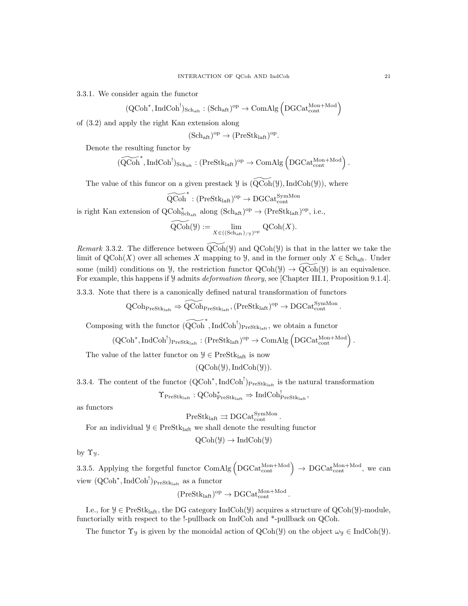3.3.1. We consider again the functor

$$
(\mathrm{QCoh}^*, \mathrm{IndCoh}^!)_{\mathrm{Sch}_{\mathrm{aff}}} : (\mathrm{Sch}_{\mathrm{aff}})^{\mathrm{op}} \to \mathrm{ComAlg}\left(\mathrm{DGCat}_{\mathrm{cont}}^{\mathrm{Mon}+\mathrm{Mod}}\right)
$$

of (3.2) and apply the right Kan extension along

$$
(\mathrm{Sch}_{\mathrm{aft}})^{\mathrm{op}} \to (\mathrm{PreStk}_{\mathrm{laft}})^{\mathrm{op}}.
$$

Denote the resulting functor by

$$
\widetilde{\mathrm{(QCoh}}^*, \mathrm{IndCoh}^!)_{\mathrm{Sch}_{\mathrm{aff}}} : (\mathrm{PreStk}_{\mathrm{laff}})^{\mathrm{op}} \to \mathrm{ComAlg}\left(\mathrm{DGCat}_{\mathrm{cont}}^{\mathrm{Mon}+\mathrm{Mod}}\right).
$$

The value of this funcor on a given prestack  $\mathcal Y$  is  $(Q\overline{\mathrm{Coh}}(\mathcal Y),\mathrm{IndCoh}(\mathcal Y))$ , where

$$
\widetilde{\operatorname{QCoh}}^*: (\operatorname{PreStk}_{\operatorname{laft}})^{\operatorname{op}} \to \operatorname{DGCat}^{\operatorname{SymMon}}_{\operatorname{cont}}
$$

is right Kan extension of  $QCoh_{\text{Sch}_{\text{aft}}}^*$  along  $(\text{Sch}_{\text{aft}})^{\text{op}} \to (\text{PreStk}_{\text{laft}})^{\text{op}},$  i.e.,

$$
\widetilde{\operatorname{QCoh}}(\mathcal{Y}) := \lim_{X \in ((\operatorname{Sch}_{\operatorname{art}})_{/\mathcal{Y}})^{\operatorname{op}}} \operatorname{QCoh}(X).
$$

Remark 3.3.2. The difference between  $\text{QCoh}(\mathcal{Y})$  and  $\text{QCoh}(\mathcal{Y})$  is that in the latter we take the limit of  $\mathrm{QCoh}(X)$  over all schemes X mapping to  $\mathcal{Y}$ , and in the former only  $X \in \mathrm{Sch}_{\mathrm{aff}}$ . Under some (mild) conditions on  $\mathcal{Y}$ , the restriction functor  $\mathrm{QCoh}(\mathcal{Y}) \to \mathrm{QCoh}(\mathcal{Y})$  is an equivalence. For example, this happens if  $\mathcal Y$  admits *deformation theory*, see [Chapter III.1, Proposition 9.1.4].

3.3.3. Note that there is a canonically defined natural transformation of functors

$$
\operatorname{QCoh}_{\operatorname{PreStk}_{\operatorname{laft}}} \Rightarrow \widetilde{\operatorname{QCoh}}_{\operatorname{PreStk}_{\operatorname{laft}}}, (\operatorname{PreStk}_{\operatorname{laft}})^{\operatorname{op}} \to \operatorname{DGCat}_{\operatorname{cont}}^{\operatorname{SymMon}}.
$$

Composing with the functor  $(\widetilde{QCoh}^*, IndCoh^!)_{PreStk<sub>laff</sub>}}$ , we obtain a functor

$$
(\mathrm{QCoh}^* , \mathrm{IndCoh}^!)_{\mathrm{PreStk}_{\mathrm{laft}}} : (\mathrm{PreStk}_{\mathrm{laft}})^{\mathrm{op}} \to \mathrm{ComAlg}\left(\mathrm{DGCat}_{\mathrm{cont}}^{\mathrm{Mon}+\mathrm{Mod}}\right).
$$

The value of the latter functor on  $\mathcal{Y} \in \text{PreStk}_{\text{la}}$  is now

 $(QCoh(\mathcal{Y}),IndCoh(\mathcal{Y})).$ 

3.3.4. The content of the functor  $(QCoh^*, IndCoh^!)_{\text{PreStk}_{\text{left}}}$  is the natural transformation

 $\Upsilon_{\mathrm{PreStk}_{\mathrm{laft}}} : \operatorname{QCoh}^*_{\mathrm{PreStk}_{\mathrm{laft}}} \Rightarrow \operatorname{IndCoh}^!_{\mathrm{PreStk}_{\mathrm{laft}}},$ 

as functors

$$
\rm{PreStk}_{\rm laft} \rightrightarrows \rm{DGCat}_{\rm cont}^{\rm SymMon}
$$

For an individual  $\mathcal{Y} \in \text{PreStk}_{\text{left}}$  we shall denote the resulting functor

$$
QCoh(\mathcal{Y}) \to IndCoh(\mathcal{Y})
$$

by  $\Upsilon_y$ .

3.3.5. Applying the forgetful functor ComAlg  $(DGCat_{cont}^{Mon+Mod}) \rightarrow DGCat_{cont}^{Mon+Mod}$ , we can view  $(QCoh^*, IndCoh^!)_{PreStk<sub>laff</sub>}$  as a functor

$$
(\mathrm{PreStk}_{\mathrm{laff}})^{\mathrm{op}} \to \mathrm{DGCat}_{\mathrm{cont}}^{\mathrm{Mon+Mod}}.
$$

I.e., for  $\mathcal{Y} \in \text{PreStk}_{\text{laff}}$ , the DG category IndCoh( $\mathcal{Y}$ ) acquires a structure of QCoh( $\mathcal{Y}$ )-module, functorially with respect to the !-pullback on IndCoh and \*-pullback on QCoh.

The functor  $\Upsilon_y$  is given by the monoidal action of  $QCoh(\mathcal{Y})$  on the object  $\omega_y \in \text{IndCoh}(\mathcal{Y})$ .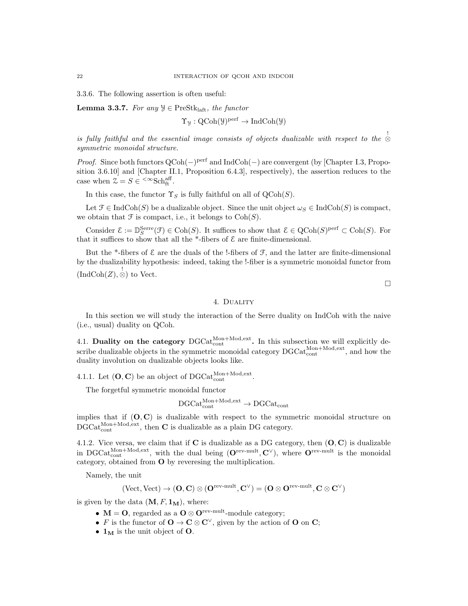3.3.6. The following assertion is often useful:

**Lemma 3.3.7.** For any  $\mathcal{Y} \in \text{PreStk}_{\text{laff}},$  the functor

$$
\Upsilon_{\mathcal{Y}}: \mathrm{QCoh}(\mathcal{Y})^{\mathrm{perf}} \to \mathrm{IndCoh}(\mathcal{Y})
$$

 $is$  fully faithful and the essential image consists of objects dualizable with respect to the  $\stackrel{!}{\otimes}$ symmetric monoidal structure.

*Proof.* Since both functors  $QCoh(-)$ <sup>perf</sup> and IndCoh(-) are convergent (by [Chapter I.3, Proposition 3.6.10] and [Chapter II.1, Proposition 6.4.3], respectively), the assertion reduces to the case when  $\mathcal{Z} = S \in \left. {^{\text{def}}\nolimits} \right.$   $\mathcal{E} \in S^{\text{def}}$ .

In this case, the functor  $\Upsilon_S$  is fully faithful on all of  $\mathrm{QCoh}(S)$ .

Let  $\mathcal{F} \in \text{IndCoh}(S)$  be a dualizable object. Since the unit object  $\omega_S \in \text{IndCoh}(S)$  is compact, we obtain that  $\mathcal F$  is compact, i.e., it belongs to  $\mathrm{Coh}(S)$ .

Consider  $\mathcal{E} := \mathbb{D}_S^{\text{Serre}}(\mathcal{F}) \in \text{Coh}(S)$ . It suffices to show that  $\mathcal{E} \in \text{QCoh}(S)^{\text{perf}} \subset \text{Coh}(S)$ . For that it suffices to show that all the \*-fibers of  $\mathcal E$  are finite-dimensional.

But the \*-fibers of  $\mathcal E$  are the duals of the !-fibers of  $\mathcal F$ , and the latter are finite-dimensional by the dualizability hypothesis: indeed, taking the !-fiber is a symmetric monoidal functor from  $\langle \text{IndCoh}(Z), \overset{!}{\otimes} \rangle$  to Vect.

 $\Box$ 

## 4. Duality

In this section we will study the interaction of the Serre duality on IndCoh with the naive (i.e., usual) duality on QCoh.

4.1. Duality on the category  $DGCat_{\text{cont}}^{\text{Mon}+\text{Mod},\text{ext}}$ . In this subsection we will explicitly describe dualizable objects in the symmetric monoidal category  $\text{DGCat}_{\text{cont}}^{\text{Mon+Mod,ext}}$ , and how the duality involution on dualizable objects looks like.

4.1.1. Let  $(O, C)$  be an object of DGCat<sup>Mon+Mod,ext</sup>.

The forgetful symmetric monoidal functor

$$
\rm DGCat^{Mon+Mod,ext}_{cont} \rightarrow DGCat_{cont}
$$

implies that if  $(O, C)$  is dualizable with respect to the symmetric monoidal structure on  $\mathrm{DGCat}_{\mathrm{cont}}^{\mathrm{Mon+Mod,ext}},$  then **C** is dualizable as a plain DG category.

4.1.2. Vice versa, we claim that if  $C$  is dualizable as a DG category, then  $(O, C)$  is dualizable in DGCat $_{\text{cont}}^{\text{Mon+Mod,ext}}$ , with the dual being  $(\mathbf{O}^{\text{rev-mult}}, \mathbf{C}^{\vee})$ , where  $\mathbf{O}^{\text{rev-mult}}$  is the monoidal category, obtained from O by reveresing the multiplication.

Namely, the unit

$$
({\rm Vect},{\rm Vect}) \rightarrow (\mathbf{O},\mathbf{C}) \otimes (\mathbf{O}^{{\rm rev-mult}},\mathbf{C}^\vee) = (\mathbf{O} \otimes \mathbf{O}^{{\rm rev-mult}},\mathbf{C} \otimes \mathbf{C}^\vee)
$$

is given by the data  $(M, F, 1_M)$ , where:

- $M = 0$ , regarded as a  $O \otimes O^{rev-mult}$ -module category;
- F is the functor of  $\mathbf{O} \to \mathbf{C} \otimes \mathbf{C}^{\vee}$ , given by the action of  $\mathbf{O}$  on  $\mathbf{C}$ ;
- $1_M$  is the unit object of O.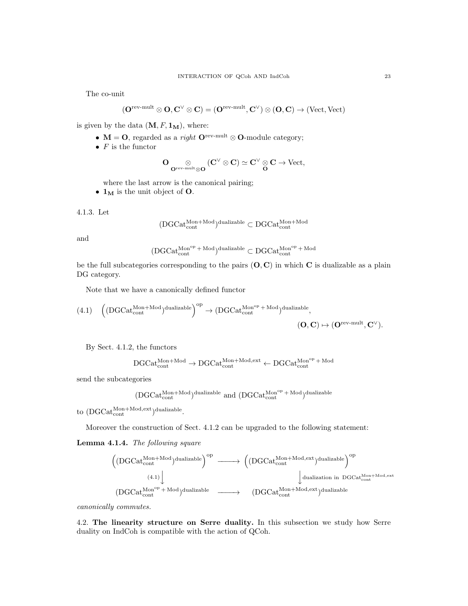The co-unit

$$
(\mathbf{O}^{\mathrm{rev-mult}}\otimes \mathbf{O}, \mathbf{C}^\vee \otimes \mathbf{C}) = (\mathbf{O}^{\mathrm{rev-mult}}, \mathbf{C}^\vee) \otimes (\mathbf{O}, \mathbf{C}) \to (\mathrm{Vect}, \mathrm{Vect})
$$

is given by the data  $(\mathbf{M}, F, \mathbf{1_M}),$  where:

- $M = O$ , regarded as a *right*  $O<sup>rev-mult</sup> \otimes O$ -module category;
- $F$  is the functor

$$
O\operatorname*{\otimes}_{O^{\operatorname{rev-mult}} {\otimes} O} (C^{\vee}\otimes C) \simeq C^{\vee}\operatorname*{\otimes} C \to \operatorname{Vect},
$$

where the last arrow is the canonical pairing;

•  $1_M$  is the unit object of O.

$$
4.1.3. \ \mathrm{Let}
$$

$$
(\mathrm{DGCat}_{\mathrm{cont}}^{\mathrm{Mon+Mod}})^{\mathrm{dualizable}} \subset \mathrm{DGCat}_{\mathrm{cont}}^{\mathrm{Mon+Mod}}
$$

and

$$
(\text{DGCat}_{\text{cont}}^{\text{Mon}^{op} + \text{Mod}})^{\text{dualizable}} \subset \text{DGCat}_{\text{cont}}^{\text{Mon}^{op} + \text{Mod}}
$$

be the full subcategories corresponding to the pairs  $(O, C)$  in which C is dualizable as a plain DG category.

Note that we have a canonically defined functor

$$
(4.1)\quad \left((DGCat_{cont}^{Mon+Mod})^{dualizable}\right)^{op}\rightarrow (DGCat_{cont}^{Mon^{op}+Mod})^{dualizable},\tag{O, C)\mapsto (O^{rev-mult}, C^{\vee}).
$$

By Sect. 4.1.2, the functors

$$
\mathrm{DGCat}_{\mathrm{cont}}^{\mathrm{Mon+Mod}} \to \mathrm{DGCat}_{\mathrm{cont}}^{\mathrm{Mon+Mod,ext}} \gets \mathrm{DGCat}_{\mathrm{cont}}^{\mathrm{Mon}^{\mathrm{op}}\, +\, \mathrm{Mod}}
$$

send the subcategories

$$
(\textrm{DGCat}_{\textrm{cont}}^{\textrm{Mon+Mod}})^{\textrm{dualizable}}
$$
 and  $(\textrm{DGCat}_{\textrm{cont}}^{\textrm{Mon}^{\textrm{op}}+\textrm{Mod}})^{\textrm{dualizable}}$ 

to  $({\rm DGCat}_{\rm cont}^{{\rm Mon+Mod,ext}})$ dualizable.

Moreover the construction of Sect. 4.1.2 can be upgraded to the following statement:

Lemma 4.1.4. The following square

$$
\begin{array}{ccc} \left((DGCat_{\text{cont}}^{\text{Mon+Mod}})^{\text{dualizable}}\right)^{op} & \longrightarrow & \left((DGCat_{\text{cont}}^{\text{Mon+Mod,ext}})^{\text{dualizable}}\right)^{op} \\ & & & \downarrow \\ & & & \downarrow \\ (DGCat_{\text{cont}}^{\text{Mon+p-Mod}})^{\text{dualizable}} & \longrightarrow & \left(DGCat_{\text{cont}}^{\text{Mon+Mod,ext}})^{\text{dualizable}} \end{array}
$$

canonically commutes.

4.2. The linearity structure on Serre duality. In this subsection we study how Serre duality on IndCoh is compatible with the action of QCoh.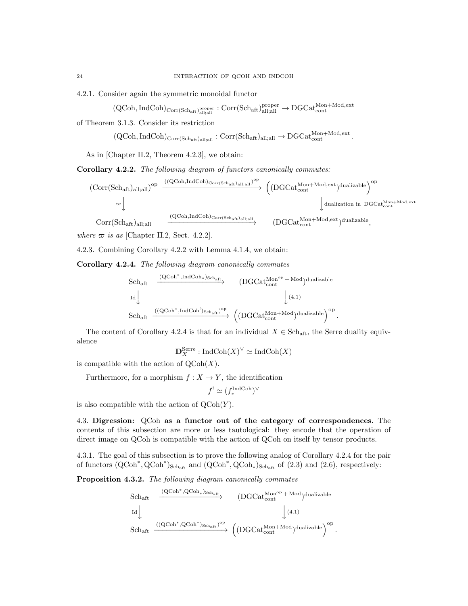4.2.1. Consider again the symmetric monoidal functor

 ${\rm (QCoh, IndCoh)_{Corr(Sch_{aft})_{{\rm all}; {\rm all}}^{\rm proper}}}: {\rm Corr(Sch_{aft})_{{\rm all}; {\rm all}}^{\rm proper}} \rightarrow {\rm DGCat}_{\rm cont}^{\rm Mon+Mod, {\rm ext}}$ 

of Theorem 3.1.3. Consider its restriction

 $(\mathsf{QCoh}, \mathsf{IndCoh})_{\mathsf{Corr}(\mathsf{Sch}_\mathrm{aft})_\mathrm{all;all}} : \mathsf{Corr}(\mathsf{Sch}_\mathrm{aft})_\mathrm{all;all} \to \mathsf{DGCat}_{\mathsf{cont}}^{\mathsf{Mon}+\mathsf{Mod}, \mathsf{ext}}.$ 

As in [Chapter II.2, Theorem 4.2.3], we obtain:

Corollary 4.2.2. The following diagram of functors canonically commutes:

$$
\begin{array}{ccc} \text{(Corr(Sch_{aft})_{all;all})}^{op} & \xrightarrow{((QCoh,IndCoh)_{Corr(Sch_{aft})_{all;all}})^{op}} & \text{(DGCat_{cont}^{Mon+Mod,ext})_{dualizable})}^{op} \\\\ & \varpi \downarrow & & \text{dualization in DGCat}_{cont}^{Mon+Mod,ext} \\\\ & \text{Corr(Sch_{aft})_{all;all}} & \xrightarrow{((QCoh,IndCoh)_{Corr(Sch_{aft})_{all;all}})} & (DGCat_{cont}^{Mon+Mod,ext})_{dualizable}, \end{array}
$$

.

where  $\varpi$  is as [Chapter II.2, Sect. 4.2.2].

4.2.3. Combining Corollary 4.2.2 with Lemma 4.1.4, we obtain:

Corollary 4.2.4. The following diagram canonically commutes

$$
\begin{array}{ccc} \rm Sch_{aft} & \xrightarrow{\rm (QCoh^*,IndCoh_*)_{Sch_{aft}} } & \rm (DGCat^{Mon^{op}_{}+Mod})\rm dualizable \\ & & \downarrow \rm (4.1) & \\ \rm Sch_{aft} & \xrightarrow{\rm ((QCoh^*,IndCoh^!)_{Sch_{aft}})^{op} } & \rm \left((DGCat^{Mon^+Mod}_{{cont}})^{\rm dualizable}\right)^{op} \end{array}
$$

The content of Corollary 4.2.4 is that for an individual  $X \in Sch_{\text{aff}}$ , the Serre duality equivalence

$$
\mathbf{D}_X^{\text{Serre}}: \text{IndCoh}(X)^\vee \simeq \text{IndCoh}(X)
$$

is compatible with the action of  $\mathrm{QCoh}(X)$ .

Furthermore, for a morphism  $f : X \to Y$ , the identification

$$
f^{!} \simeq (f_{*}^{\text{IndCoh}})^{\vee}
$$

is also compatible with the action of  $\mathrm{QCoh}(Y)$ .

4.3. Digression: QCoh as a functor out of the category of correspondences. The contents of this subsection are more or less tautological: they encode that the operation of direct image on QCoh is compatible with the action of QCoh on itself by tensor products.

4.3.1. The goal of this subsection is to prove the following analog of Corollary 4.2.4 for the pair of functors  $(QCoh^*, QCoh^*)_{Sch_{aff}}$  and  $(QCoh^*, QCoh_*)_{Sch_{aff}}$  of  $(2.3)$  and  $(2.6)$ , respectively:

Proposition 4.3.2. The following diagram canonically commutes

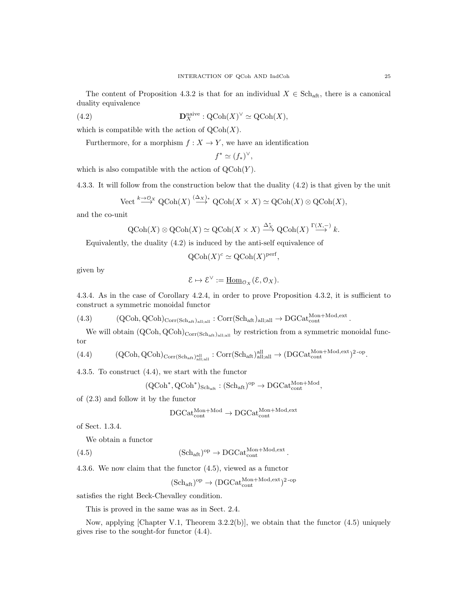The content of Proposition 4.3.2 is that for an individual  $X \in Sch_{\text{aft}}$ , there is a canonical duality equivalence

(4.2) 
$$
\mathbf{D}_X^{\text{naive}} : \mathrm{QCoh}(X)^\vee \simeq \mathrm{QCoh}(X),
$$

which is compatible with the action of  $\mathrm{QCoh}(X)$ .

Furthermore, for a morphism  $f : X \to Y$ , we have an identification

$$
f^* \simeq (f_*)^\vee,
$$

which is also compatible with the action of  $\mathrm{QCoh}(Y)$ .

4.3.3. It will follow from the construction below that the duality (4.2) is that given by the unit

$$
\text{Vect} \stackrel{k \to 0}{\longrightarrow} \text{QCoh}(X) \stackrel{(\Delta_X)_*}{\longrightarrow} \text{QCoh}(X \times X) \simeq \text{QCoh}(X) \otimes \text{QCoh}(X),
$$

and the co-unit

$$
Q\text{Coh}(X) \otimes Q\text{Coh}(X) \simeq Q\text{Coh}(X \times X) \xrightarrow{\Delta_X^*} Q\text{Coh}(X) \xrightarrow{\Gamma(X, -)} k.
$$

Equivalently, the duality (4.2) is induced by the anti-self equivalence of

$$
\mathrm{QCoh}(X)^c \simeq \mathrm{QCoh}(X)^{\mathrm{perf}},
$$

given by

$$
\mathcal{E} \mapsto \mathcal{E}^{\vee} := \underline{\mathrm{Hom}}_{\mathcal{O}_X}(\mathcal{E}, \mathcal{O}_X).
$$

4.3.4. As in the case of Corollary 4.2.4, in order to prove Proposition 4.3.2, it is sufficient to construct a symmetric monoidal functor

 $(4.3) \qquad (\text{QCoh}, \text{QCoh})_{\text{Corr}(Sch_{\text{aft}})_{\text{all};\text{all}}}: \text{Corr}(Sch_{\text{aft}})_{\text{all};\text{all}} \to \text{DGCat}_{\text{cont}}^{\text{Mon+Mod,ext}}.$ 

We will obtain  $(QCoh, QCoh)_{Corr(Sch<sub>aff</sub>)_{all;all}}$  by restriction from a symmetric monoidal functor

 $(4.4) \qquad \qquad {\rm (QCoh, QCoh)}_{\rm Corr(Sch_{\rm aft})^{all}_{all;all}}: {\rm Corr(Sch_{\rm aft})^{all}_{all;all}} \rightarrow ({\rm DGCat}_{\rm cont}^{{\rm Mon+Mod,ext}})^{2\text{-op}}.$ 

4.3.5. To construct (4.4), we start with the functor

$$
(\operatorname{QCoh}^*, \operatorname{QCoh}^*)_{\operatorname{Sch}_{\operatorname{aft}}} : (\operatorname{Sch}_{\operatorname{aft}})^{\operatorname{op}} \to \operatorname{DGCat}_{\operatorname{cont}}^{\operatorname{Mon} + \operatorname{Mod}},
$$

of (2.3) and follow it by the functor

$$
\mathrm{DGCat}_{\mathrm{cont}}^{\mathrm{Mon+Mod}} \to \mathrm{DGCat}_{\mathrm{cont}}^{\mathrm{Mon+Mod,ext}}
$$

of Sect. 1.3.4.

We obtain a functor

(4.5) 
$$
(Sch_{\text{aft}})^{\text{op}} \to \text{DGCat}_{\text{cont}}^{\text{Mon}+\text{Mod}, \text{ext}}.
$$

4.3.6. We now claim that the functor (4.5), viewed as a functor

$$
(\mathrm{Sch}_{\mathrm{aft}})^{\mathrm{op}}\to (\mathrm{DGCat}_{\mathrm{cont}}^{\mathrm{Mon+Mod,ext}})^{2\text{-op}}
$$

satisfies the right Beck-Chevalley condition.

This is proved in the same was as in Sect. 2.4.

Now, applying [Chapter V.1, Theorem  $3.2.2(b)$ ], we obtain that the functor  $(4.5)$  uniquely gives rise to the sought-for functor (4.4).